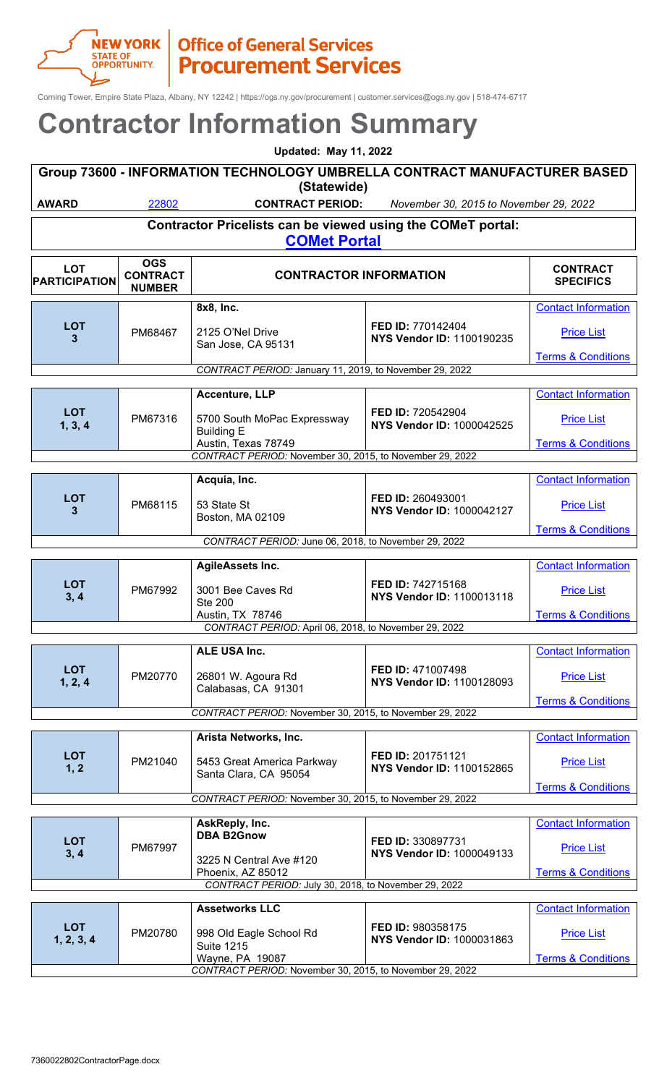

Corning Tower, Empire State Plaza, Albany, NY 12242 | https://ogs.ny.gov/procurement | customer.services@ogs.ny.gov | 518-474-6717

| 2011 II ACLOI TITILOI ITTALIOITTOOTTIITTA V |                                                                                          |                                                                           |                                                       |                                                    |  |
|---------------------------------------------|------------------------------------------------------------------------------------------|---------------------------------------------------------------------------|-------------------------------------------------------|----------------------------------------------------|--|
|                                             |                                                                                          | <b>Updated: May 11, 2022</b>                                              |                                                       |                                                    |  |
|                                             | Group 73600 - INFORMATION TECHNOLOGY UMBRELLA CONTRACT MANUFACTURER BASED<br>(Statewide) |                                                                           |                                                       |                                                    |  |
| <b>AWARD</b>                                | 22802                                                                                    | <b>CONTRACT PERIOD:</b>                                                   | November 30, 2015 to November 29, 2022                |                                                    |  |
|                                             |                                                                                          | Contractor Pricelists can be viewed using the COMeT portal:               |                                                       |                                                    |  |
|                                             |                                                                                          | <b>COMet Portal</b>                                                       |                                                       |                                                    |  |
| <b>LOT</b><br><b>PARTICIPATION</b>          | <b>OGS</b><br><b>CONTRACT</b><br><b>NUMBER</b>                                           | <b>CONTRACTOR INFORMATION</b>                                             |                                                       | <b>CONTRACT</b><br><b>SPECIFICS</b>                |  |
|                                             |                                                                                          | 8x8, Inc.                                                                 |                                                       | <b>Contact Information</b>                         |  |
| <b>LOT</b><br>3                             | PM68467                                                                                  | 2125 O'Nel Drive<br>San Jose, CA 95131                                    | FED ID: 770142404<br>NYS Vendor ID: 1100190235        | <b>Price List</b>                                  |  |
|                                             |                                                                                          | CONTRACT PERIOD: January 11, 2019, to November 29, 2022                   |                                                       | <b>Terms &amp; Conditions</b>                      |  |
|                                             |                                                                                          | <b>Accenture, LLP</b>                                                     |                                                       | <b>Contact Information</b>                         |  |
| <b>LOT</b>                                  | PM67316                                                                                  | 5700 South MoPac Expressway                                               | FED ID: 720542904                                     | <b>Price List</b>                                  |  |
| 1, 3, 4                                     |                                                                                          | <b>Building E</b><br>Austin, Texas 78749                                  | <b>NYS Vendor ID: 1000042525</b>                      | <b>Terms &amp; Conditions</b>                      |  |
|                                             |                                                                                          | CONTRACT PERIOD: November 30, 2015, to November 29, 2022                  |                                                       |                                                    |  |
|                                             |                                                                                          | Acquia, Inc.                                                              |                                                       | <b>Contact Information</b>                         |  |
| <b>LOT</b><br>3                             | PM68115                                                                                  | 53 State St<br>Boston, MA 02109                                           | FED ID: 260493001<br><b>NYS Vendor ID: 1000042127</b> | <b>Price List</b>                                  |  |
|                                             |                                                                                          |                                                                           |                                                       | <b>Terms &amp; Conditions</b>                      |  |
|                                             |                                                                                          | CONTRACT PERIOD: June 06, 2018, to November 29, 2022                      |                                                       |                                                    |  |
|                                             |                                                                                          | AgileAssets Inc.                                                          |                                                       | <b>Contact Information</b>                         |  |
| <b>LOT</b><br>3, 4                          | PM67992                                                                                  | 3001 Bee Caves Rd<br><b>Ste 200</b>                                       | FED ID: 742715168<br><b>NYS Vendor ID: 1100013118</b> | <b>Price List</b>                                  |  |
|                                             |                                                                                          | Austin, TX 78746<br>CONTRACT PERIOD: April 06, 2018, to November 29, 2022 |                                                       | <b>Terms &amp; Conditions</b>                      |  |
|                                             |                                                                                          | ALE USA Inc.                                                              |                                                       | <b>Contact Information</b>                         |  |
| <b>LOT</b><br>1, 2, 4                       | PM20770                                                                                  | 26801 W. Agoura Rd                                                        | FED ID: 471007498<br>NYS Vendor ID: 1100128093        | <b>Price List</b>                                  |  |
|                                             |                                                                                          | Calabasas, CA 91301                                                       |                                                       | <b>Terms &amp; Conditions</b>                      |  |
|                                             |                                                                                          | CONTRACT PERIOD: November 30, 2015, to November 29, 2022                  |                                                       |                                                    |  |
|                                             |                                                                                          | Arista Networks, Inc.                                                     |                                                       | <b>Contact Information</b>                         |  |
| <b>LOT</b><br>1, 2                          | PM21040                                                                                  | 5453 Great America Parkway<br>Santa Clara, CA 95054                       | FED ID: 201751121<br>NYS Vendor ID: 1100152865        | <b>Price List</b>                                  |  |
|                                             |                                                                                          | CONTRACT PERIOD: November 30, 2015, to November 29, 2022                  |                                                       | <b>Terms &amp; Conditions</b>                      |  |
|                                             |                                                                                          |                                                                           |                                                       |                                                    |  |
|                                             |                                                                                          | AskReply, Inc.<br><b>DBA B2Gnow</b>                                       |                                                       | <b>Contact Information</b>                         |  |
| <b>LOT</b><br>3, 4                          | PM67997                                                                                  | 3225 N Central Ave #120                                                   | FED ID: 330897731<br>NYS Vendor ID: 1000049133        | <b>Price List</b>                                  |  |
|                                             |                                                                                          | Phoenix, AZ 85012<br>CONTRACT PERIOD: July 30, 2018, to November 29, 2022 |                                                       | <b>Terms &amp; Conditions</b>                      |  |
|                                             |                                                                                          | <b>Assetworks LLC</b>                                                     |                                                       | <b>Contact Information</b>                         |  |
| <b>LOT</b>                                  |                                                                                          |                                                                           | FED ID: 980358175                                     |                                                    |  |
| 1, 2, 3, 4                                  | PM20780                                                                                  | 998 Old Eagle School Rd<br><b>Suite 1215</b><br>Wayne, PA 19087           | NYS Vendor ID: 1000031863                             | <b>Price List</b><br><b>Terms &amp; Conditions</b> |  |
|                                             |                                                                                          | CONTRACT PERIOD: November 30, 2015, to November 29, 2022                  |                                                       |                                                    |  |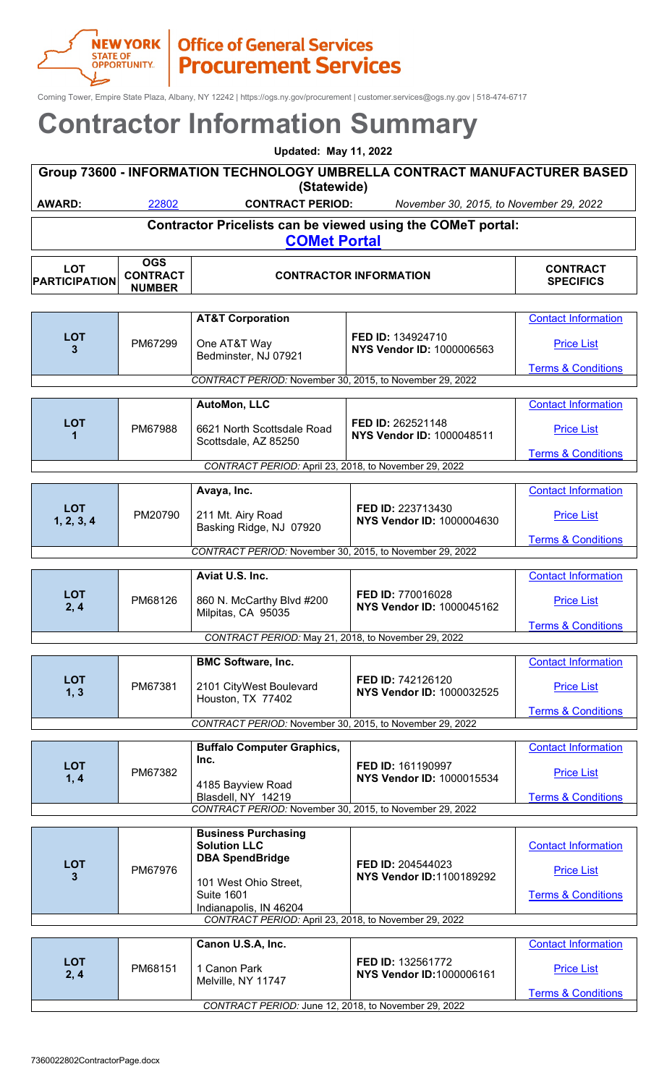

Corning Tower, Empire State Plaza, Albany, NY 12242 | https://ogs.ny.gov/procurement | customer.services@ogs.ny.gov | 518-474-6717

#### **Contractor Information Summary Updated: May 11, 2022**

| <b>Updated: May 11, 2022</b>                                                       |             |                         |                                         |          |  |  |
|------------------------------------------------------------------------------------|-------------|-------------------------|-----------------------------------------|----------|--|--|
| Group 73600 - INFORMATION TECHNOLOGY UMBRELLA CONTRACT MANUFACTURER BASED          |             |                         |                                         |          |  |  |
|                                                                                    | (Statewide) |                         |                                         |          |  |  |
| AWARD:                                                                             | 22802       | <b>CONTRACT PERIOD:</b> | November 30, 2015, to November 29, 2022 |          |  |  |
| Contractor Pricelists can be viewed using the COMeT portal:<br><b>COMet Portal</b> |             |                         |                                         |          |  |  |
| $\mathbf{r}$                                                                       | OGS         |                         |                                         | CONTRACT |  |  |

| LOT<br><b>PARTICIPATION</b> | <b>CONTRACT</b><br><b>NUMBER</b> |                                                                                | <b>CONTRACTOR INFORMATION</b>                         | <b>CONTRACT</b><br><b>SPECIFICS</b> |
|-----------------------------|----------------------------------|--------------------------------------------------------------------------------|-------------------------------------------------------|-------------------------------------|
|                             |                                  |                                                                                |                                                       |                                     |
|                             |                                  | <b>AT&amp;T Corporation</b>                                                    |                                                       | <b>Contact Information</b>          |
| <b>LOT</b><br>3             | PM67299                          | One AT&T Way<br>Bedminster, NJ 07921                                           | FED ID: 134924710<br>NYS Vendor ID: 1000006563        | <b>Price List</b>                   |
|                             |                                  |                                                                                |                                                       | <b>Terms &amp; Conditions</b>       |
|                             |                                  | CONTRACT PERIOD: November 30, 2015, to November 29, 2022                       |                                                       |                                     |
|                             |                                  | <b>AutoMon, LLC</b>                                                            |                                                       | <b>Contact Information</b>          |
| <b>LOT</b><br>1             | PM67988                          | 6621 North Scottsdale Road<br>Scottsdale, AZ 85250                             | FED ID: 262521148<br><b>NYS Vendor ID: 1000048511</b> | <b>Price List</b>                   |
|                             |                                  |                                                                                |                                                       | <b>Terms &amp; Conditions</b>       |
|                             |                                  | CONTRACT PERIOD: April 23, 2018, to November 29, 2022                          |                                                       |                                     |
|                             |                                  | Avaya, Inc.                                                                    |                                                       | <b>Contact Information</b>          |
| <b>LOT</b><br>1, 2, 3, 4    | PM20790                          | 211 Mt. Airy Road<br>Basking Ridge, NJ 07920                                   | FED ID: 223713430<br><b>NYS Vendor ID: 1000004630</b> | <b>Price List</b>                   |
|                             |                                  |                                                                                |                                                       | <b>Terms &amp; Conditions</b>       |
|                             |                                  | CONTRACT PERIOD: November 30, 2015, to November 29, 2022                       |                                                       |                                     |
|                             |                                  | Aviat U.S. Inc.                                                                |                                                       |                                     |
|                             |                                  |                                                                                |                                                       | <b>Contact Information</b>          |
| <b>LOT</b><br>2, 4          | PM68126                          | 860 N. McCarthy Blvd #200<br>Milpitas, CA 95035                                | FED ID: 770016028<br>NYS Vendor ID: 1000045162        | <b>Price List</b>                   |
|                             |                                  |                                                                                |                                                       | <b>Terms &amp; Conditions</b>       |
|                             |                                  | CONTRACT PERIOD: May 21, 2018, to November 29, 2022                            |                                                       |                                     |
|                             |                                  | <b>BMC Software, Inc.</b>                                                      |                                                       | <b>Contact Information</b>          |
| <b>LOT</b><br>1, 3          | PM67381                          | 2101 CityWest Boulevard<br>Houston, TX 77402                                   | FED ID: 742126120<br>NYS Vendor ID: 1000032525        | <b>Price List</b>                   |
|                             |                                  |                                                                                |                                                       | <b>Terms &amp; Conditions</b>       |
|                             |                                  | CONTRACT PERIOD: November 30, 2015, to November 29, 2022                       |                                                       |                                     |
|                             |                                  | <b>Buffalo Computer Graphics,</b>                                              |                                                       | <b>Contact Information</b>          |
| <b>LOT</b>                  | PM67382                          | Inc.                                                                           | FED ID: 161190997                                     | <b>Price List</b>                   |
| 1, 4                        |                                  | 4185 Bayview Road                                                              | NYS Vendor ID: 1000015534                             |                                     |
|                             |                                  | Blasdell, NY 14219<br>CONTRACT PERIOD: November 30, 2015, to November 29, 2022 |                                                       | <b>Terms &amp; Conditions</b>       |
|                             |                                  |                                                                                |                                                       |                                     |
|                             |                                  | <b>Business Purchasing</b>                                                     |                                                       |                                     |

|                       |                        | CONTRACT PERIOD: June 12, 2018, to November 29, 2022  |                                               | <b>Terms &amp; Conditions</b> |
|-----------------------|------------------------|-------------------------------------------------------|-----------------------------------------------|-------------------------------|
| <b>LOT</b><br>2, 4    | PM68151                | 1 Canon Park<br>Melville, NY 11747                    | FED ID: 132561772<br>NYS Vendor ID:1000006161 | <b>Price List</b>             |
|                       |                        | Canon U.S.A, Inc.                                     |                                               | <b>Contact Information</b>    |
|                       |                        | CONTRACT PERIOD: April 23, 2018, to November 29, 2022 |                                               |                               |
|                       |                        | Indianapolis, IN 46204                                |                                               |                               |
|                       |                        | 101 West Ohio Street,<br><b>Suite 1601</b>            |                                               | <b>Terms &amp; Conditions</b> |
| <b>LOT</b><br>PM67976 | <b>DBA SpendBridge</b> | FED ID: 204544023<br><b>NYS Vendor ID:1100189292</b>  | <b>Price List</b>                             |                               |
|                       |                        | <b>Solution LLC</b>                                   |                                               | <b>Contact Information</b>    |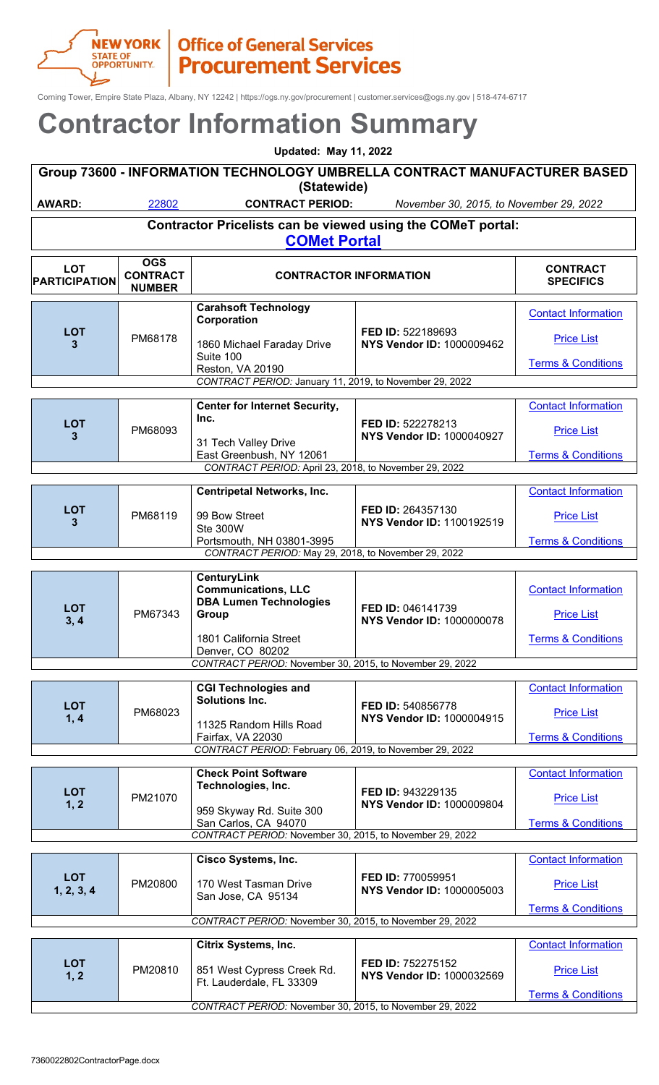

Corning Tower, Empire State Plaza, Albany, NY 12242 | https://ogs.ny.gov/procurement | customer.services@ogs.ny.gov | 518-474-6717

| Contractor information Summary |                                                                                                                   |                                                                                   |                                                       |                                                    |                   |  |
|--------------------------------|-------------------------------------------------------------------------------------------------------------------|-----------------------------------------------------------------------------------|-------------------------------------------------------|----------------------------------------------------|-------------------|--|
|                                | <b>Updated: May 11, 2022</b>                                                                                      |                                                                                   |                                                       |                                                    |                   |  |
|                                | Group 73600 - INFORMATION TECHNOLOGY UMBRELLA CONTRACT MANUFACTURER BASED<br>(Statewide)                          |                                                                                   |                                                       |                                                    |                   |  |
| <b>AWARD:</b>                  | 22802<br><b>CONTRACT PERIOD:</b><br>November 30, 2015, to November 29, 2022                                       |                                                                                   |                                                       |                                                    |                   |  |
|                                | Contractor Pricelists can be viewed using the COMeT portal:                                                       |                                                                                   |                                                       |                                                    |                   |  |
|                                |                                                                                                                   | <b>COMet Portal</b>                                                               |                                                       |                                                    |                   |  |
|                                | <b>OGS</b>                                                                                                        |                                                                                   |                                                       |                                                    |                   |  |
| <b>LOT</b><br>PARTICIPATION    | <b>CONTRACT</b><br><b>NUMBER</b>                                                                                  | <b>CONTRACT</b><br><b>CONTRACTOR INFORMATION</b><br><b>SPECIFICS</b>              |                                                       |                                                    |                   |  |
|                                |                                                                                                                   | <b>Carahsoft Technology</b><br>Corporation                                        |                                                       | <b>Contact Information</b>                         |                   |  |
| <b>LOT</b><br>3                | PM68178                                                                                                           | 1860 Michael Faraday Drive<br>Suite 100                                           | FED ID: 522189693<br>NYS Vendor ID: 1000009462        | <b>Price List</b><br><b>Terms &amp; Conditions</b> |                   |  |
|                                |                                                                                                                   | Reston, VA 20190<br>CONTRACT PERIOD: January 11, 2019, to November 29, 2022       |                                                       |                                                    |                   |  |
|                                |                                                                                                                   |                                                                                   |                                                       |                                                    |                   |  |
|                                |                                                                                                                   | <b>Center for Internet Security,</b><br>Inc.                                      |                                                       | <b>Contact Information</b>                         |                   |  |
| <b>LOT</b><br>3                | PM68093                                                                                                           | 31 Tech Valley Drive                                                              | FED ID: 522278213<br><b>NYS Vendor ID: 1000040927</b> | <b>Price List</b>                                  |                   |  |
|                                |                                                                                                                   | East Greenbush, NY 12061<br>CONTRACT PERIOD: April 23, 2018, to November 29, 2022 |                                                       | <b>Terms &amp; Conditions</b>                      |                   |  |
|                                |                                                                                                                   |                                                                                   |                                                       |                                                    |                   |  |
| <b>LOT</b><br>3                |                                                                                                                   | <b>Centripetal Networks, Inc.</b><br>99 Bow Street                                | FED ID: 264357130                                     | <b>Contact Information</b>                         |                   |  |
|                                | PM68119                                                                                                           | Ste 300W                                                                          | NYS Vendor ID: 1100192519                             | <b>Price List</b>                                  |                   |  |
|                                | Portsmouth, NH 03801-3995<br><b>Terms &amp; Conditions</b><br>CONTRACT PERIOD: May 29, 2018, to November 29, 2022 |                                                                                   |                                                       |                                                    |                   |  |
|                                |                                                                                                                   |                                                                                   |                                                       |                                                    |                   |  |
|                                | PM67343                                                                                                           | <b>CenturyLink</b><br><b>Communications, LLC</b>                                  | FED ID: 046141739                                     | <b>Contact Information</b>                         |                   |  |
| <b>LOT</b>                     |                                                                                                                   | <b>DBA Lumen Technologies</b>                                                     |                                                       |                                                    |                   |  |
| 3, 4                           |                                                                                                                   |                                                                                   | Group                                                 | <b>NYS Vendor ID: 1000000078</b>                   | <b>Price List</b> |  |
|                                |                                                                                                                   | 1801 California Street<br>Denver, CO 80202                                        |                                                       | <b>Terms &amp; Conditions</b>                      |                   |  |
|                                |                                                                                                                   | CONTRACT PERIOD: November 30, 2015, to November 29, 2022                          |                                                       |                                                    |                   |  |
|                                |                                                                                                                   | <b>CGI Technologies and</b>                                                       |                                                       | <b>Contact Information</b>                         |                   |  |
| <b>LOT</b>                     | PM68023                                                                                                           | <b>Solutions Inc.</b>                                                             | FED ID: 540856778                                     |                                                    |                   |  |
| 1, 4                           |                                                                                                                   | 11325 Random Hills Road                                                           | NYS Vendor ID: 1000004915                             | <b>Price List</b>                                  |                   |  |
|                                |                                                                                                                   | Fairfax, VA 22030<br>CONTRACT PERIOD: February 06, 2019, to November 29, 2022     |                                                       | <b>Terms &amp; Conditions</b>                      |                   |  |
|                                |                                                                                                                   |                                                                                   |                                                       |                                                    |                   |  |
|                                |                                                                                                                   | <b>Check Point Software</b><br>Technologies, Inc.                                 |                                                       | <b>Contact Information</b>                         |                   |  |
| <b>LOT</b><br>1, 2             | PM21070                                                                                                           | 959 Skyway Rd. Suite 300                                                          | FED ID: 943229135<br>NYS Vendor ID: 1000009804        | <b>Price List</b>                                  |                   |  |
|                                |                                                                                                                   | San Carlos, CA 94070                                                              |                                                       | <b>Terms &amp; Conditions</b>                      |                   |  |
|                                |                                                                                                                   | CONTRACT PERIOD: November 30, 2015, to November 29, 2022                          |                                                       |                                                    |                   |  |
|                                |                                                                                                                   | <b>Cisco Systems, Inc.</b>                                                        |                                                       | <b>Contact Information</b>                         |                   |  |
| <b>LOT</b><br>1, 2, 3, 4       | PM20800                                                                                                           | 170 West Tasman Drive<br>San Jose, CA 95134                                       | FED ID: 770059951<br><b>NYS Vendor ID: 1000005003</b> | <b>Price List</b>                                  |                   |  |
|                                |                                                                                                                   | CONTRACT PERIOD: November 30, 2015, to November 29, 2022                          |                                                       | <b>Terms &amp; Conditions</b>                      |                   |  |
|                                |                                                                                                                   |                                                                                   |                                                       |                                                    |                   |  |
|                                |                                                                                                                   | <b>Citrix Systems, Inc.</b>                                                       |                                                       | <b>Contact Information</b>                         |                   |  |
| <b>LOT</b><br>1, 2             | PM20810                                                                                                           | 851 West Cypress Creek Rd.<br>Ft. Lauderdale, FL 33309                            | FED ID: 752275152<br>NYS Vendor ID: 1000032569        | <b>Price List</b>                                  |                   |  |
|                                |                                                                                                                   |                                                                                   |                                                       | <b>Terms &amp; Conditions</b>                      |                   |  |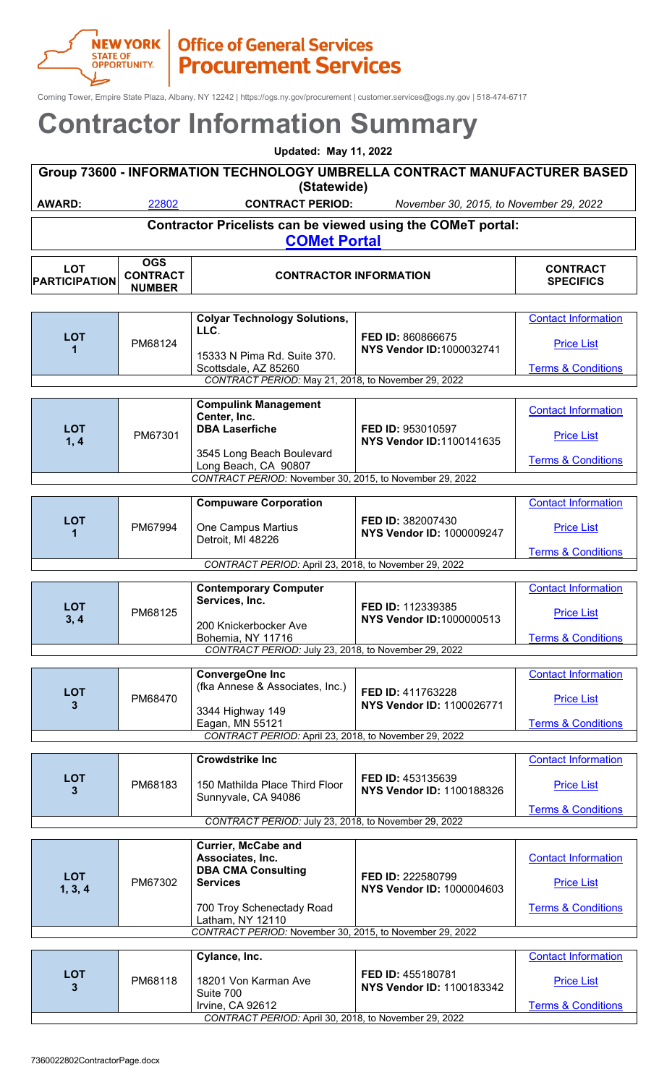Corning Tower, Empire State Plaza, Albany, NY 12242 | https://ogs.ny.gov/procurement | customer.services@ogs.ny.gov | 518-474-6717

### **Contractor Information Summary**

| <b>Updated: May 11, 2022</b>                                                             |                                                |                                                                                    |                                         |                                     |
|------------------------------------------------------------------------------------------|------------------------------------------------|------------------------------------------------------------------------------------|-----------------------------------------|-------------------------------------|
| Group 73600 - INFORMATION TECHNOLOGY UMBRELLA CONTRACT MANUFACTURER BASED<br>(Statewide) |                                                |                                                                                    |                                         |                                     |
| <b>AWARD:</b>                                                                            | 22802                                          | <b>CONTRACT PERIOD:</b>                                                            | November 30, 2015, to November 29, 2022 |                                     |
|                                                                                          |                                                | Contractor Pricelists can be viewed using the COMeT portal:<br><b>COMet Portal</b> |                                         |                                     |
| <b>LOT</b><br><b>PARTICIPATION</b>                                                       | <b>OGS</b><br><b>CONTRACT</b><br><b>NUMBED</b> | <b>CONTRACTOR INFORMATION</b>                                                      |                                         | <b>CONTRACT</b><br><b>SPECIFICS</b> |

|            |         | <b>Colyar Technology Solutions,</b>                      |                                                       | <b>Contact Information</b>    |
|------------|---------|----------------------------------------------------------|-------------------------------------------------------|-------------------------------|
| <b>LOT</b> |         | LLC.                                                     | FED ID: 860866675                                     |                               |
|            | PM68124 |                                                          | <b>NYS Vendor ID: 1000032741</b>                      | <b>Price List</b>             |
|            |         | 15333 N Pima Rd. Suite 370.                              |                                                       |                               |
|            |         | Scottsdale, AZ 85260                                     |                                                       | <b>Terms &amp; Conditions</b> |
|            |         | CONTRACT PERIOD: May 21, 2018, to November 29, 2022      |                                                       |                               |
|            |         |                                                          |                                                       |                               |
|            |         | <b>Compulink Management</b>                              |                                                       | <b>Contact Information</b>    |
|            |         | Center, Inc.                                             |                                                       |                               |
| <b>LOT</b> | PM67301 | <b>DBA Laserfiche</b>                                    | FED ID: 953010597                                     | <b>Price List</b>             |
| 1, 4       |         |                                                          | <b>NYS Vendor ID:1100141635</b>                       |                               |
|            |         | 3545 Long Beach Boulevard                                |                                                       | <b>Terms &amp; Conditions</b> |
|            |         | Long Beach, CA 90807                                     |                                                       |                               |
|            |         | CONTRACT PERIOD: November 30, 2015, to November 29, 2022 |                                                       |                               |
|            |         |                                                          |                                                       |                               |
|            |         | <b>Compuware Corporation</b>                             |                                                       | <b>Contact Information</b>    |
| <b>LOT</b> | PM67994 |                                                          | FED ID: 382007430<br><b>NYS Vendor ID: 1000009247</b> |                               |
| 1          |         | One Campus Martius                                       |                                                       | <b>Price List</b>             |
|            |         | Detroit, MI 48226                                        |                                                       | <b>Terms &amp; Conditions</b> |
|            |         | CONTRACT PERIOD: April 23, 2018, to November 29, 2022    |                                                       |                               |
|            |         |                                                          |                                                       |                               |
|            |         | <b>Contemporary Computer</b>                             |                                                       | <b>Contact Information</b>    |
|            |         | Services, Inc.                                           |                                                       |                               |
| <b>LOT</b> | PM68125 |                                                          | FED ID: 112339385                                     | <b>Price List</b>             |
| 3, 4       |         | 200 Knickerbocker Ave                                    | <b>NYS Vendor ID: 1000000513</b>                      |                               |
|            |         | Bohemia, NY 11716                                        |                                                       | <b>Terms &amp; Conditions</b> |
|            |         | CONTRACT PERIOD: July 23, 2018, to November 29, 2022     |                                                       |                               |
|            |         |                                                          |                                                       |                               |
|            |         | <b>ConvergeOne Inc</b>                                   |                                                       | <b>Contact Information</b>    |
| <b>LOT</b> |         | (fka Annese & Associates, Inc.)                          | FED ID: 411763228                                     |                               |
| 3          | PM68470 |                                                          | NYS Vendor ID: 1100026771                             | <b>Price List</b>             |
|            |         | 3344 Highway 149                                         |                                                       |                               |
|            |         | Eagan, MN 55121                                          |                                                       | <b>Terms &amp; Conditions</b> |
|            |         | CONTRACT PERIOD: April 23, 2018, to November 29, 2022    |                                                       |                               |

|                                                      |         | <b>Crowdstrike Inc.</b>                               |                                                       | <b>Contact Information</b>    |
|------------------------------------------------------|---------|-------------------------------------------------------|-------------------------------------------------------|-------------------------------|
| LOT<br>3                                             | PM68183 | 150 Mathilda Place Third Floor<br>Sunnyvale, CA 94086 | <b>FED ID: 453135639</b><br>NYS Vendor ID: 1100188326 | <b>Price List</b>             |
|                                                      |         |                                                       |                                                       | <b>Terms &amp; Conditions</b> |
| CONTRACT PERIOD: July 23, 2018, to November 29, 2022 |         |                                                       |                                                       |                               |

| <b>LOT</b><br>1, 3, 4                                    | PM67302 | <b>Currier, McCabe and</b><br>Associates, Inc.<br><b>DBA CMA Consulting</b><br><b>Services</b><br>700 Troy Schenectady Road<br>Latham, NY 12110 | <b>FED ID: 222580799</b><br>NYS Vendor ID: 1000004603 | <b>Contact Information</b><br><b>Price List</b><br><b>Terms &amp; Conditions</b> |
|----------------------------------------------------------|---------|-------------------------------------------------------------------------------------------------------------------------------------------------|-------------------------------------------------------|----------------------------------------------------------------------------------|
| CONTRACT PERIOD: November 30, 2015, to November 29, 2022 |         |                                                                                                                                                 |                                                       |                                                                                  |

|                                                       |         | Cylance, Inc.                     |                                                       | <b>Contact Information</b>    |
|-------------------------------------------------------|---------|-----------------------------------|-------------------------------------------------------|-------------------------------|
| <b>LOT</b>                                            | PM68118 | 18201 Von Karman Ave<br>Suite 700 | <b>FED ID: 455180781</b><br>NYS Vendor ID: 1100183342 | <b>Price List</b>             |
|                                                       |         | Irvine, CA 92612                  |                                                       | <b>Terms &amp; Conditions</b> |
| CONTRACT PERIOD: April 30, 2018, to November 29, 2022 |         |                                   |                                                       |                               |

**PARTICIPATION**

**NUMBER**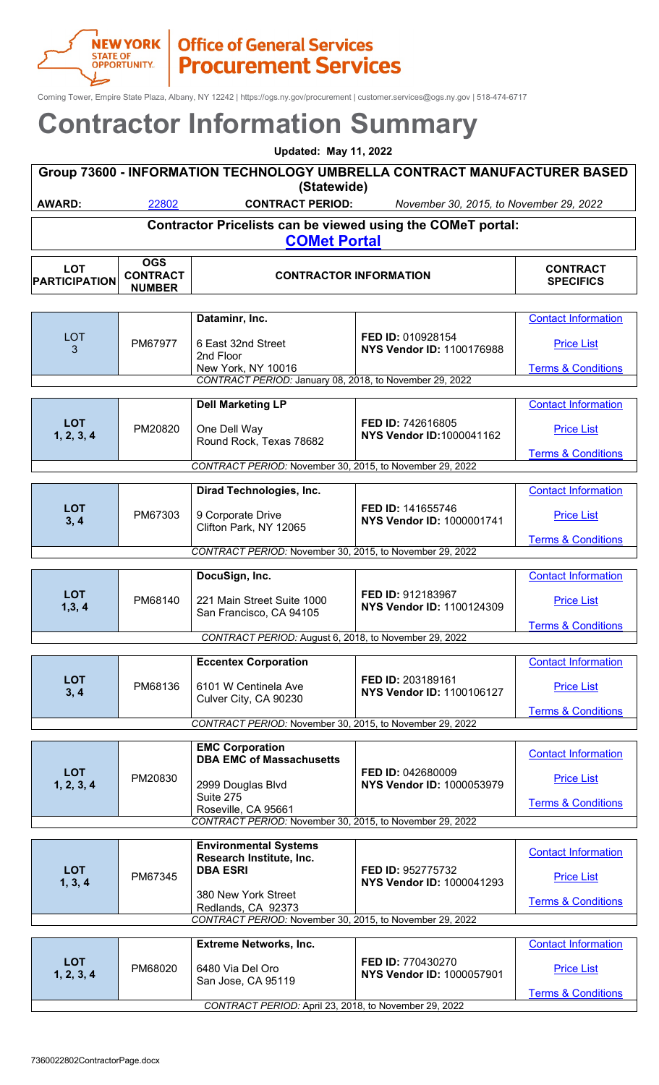

**PARTICIPATION**

**CONTRACT**

## **NEW YORK | Office of General Services**<br> **STATE OF** P**rocurement Services**

Corning Tower, Empire State Plaza, Albany, NY 12242 | https://ogs.ny.gov/procurement | customer.services@ogs.ny.gov | 518-474-6717

### **Contractor Information Summary**

| <b>Updated: May 11, 2022</b>                                                             |                               |                               |                                         |                              |  |
|------------------------------------------------------------------------------------------|-------------------------------|-------------------------------|-----------------------------------------|------------------------------|--|
| Group 73600 - INFORMATION TECHNOLOGY UMBRELLA CONTRACT MANUFACTURER BASED<br>(Statewide) |                               |                               |                                         |                              |  |
|                                                                                          |                               |                               |                                         |                              |  |
| <b>AWARD:</b>                                                                            | 22802                         | <b>CONTRACT PERIOD:</b>       | November 30, 2015, to November 29, 2022 |                              |  |
| Contractor Pricelists can be viewed using the COMeT portal:<br><b>COMet Portal</b>       |                               |                               |                                         |                              |  |
| <b>LOT</b>                                                                               | <b>OGS</b><br><b>CONTRACT</b> | <b>CONTRACTOR INFORMATION</b> |                                         | <b>CONTRACT</b><br>ARPAIRIAA |  |

**SPECIFICS**

|                          | <b>NUMBER</b> |                                                          |                                                              |                               |
|--------------------------|---------------|----------------------------------------------------------|--------------------------------------------------------------|-------------------------------|
|                          |               |                                                          |                                                              |                               |
|                          |               | Dataminr, Inc.                                           |                                                              | <b>Contact Information</b>    |
| <b>LOT</b><br>3          | PM67977       | 6 East 32nd Street<br>2nd Floor                          | FED ID: 010928154<br><b>NYS Vendor ID: 1100176988</b>        | <b>Price List</b>             |
|                          |               | New York, NY 10016                                       |                                                              | <b>Terms &amp; Conditions</b> |
|                          |               | CONTRACT PERIOD: January 08, 2018, to November 29, 2022  |                                                              |                               |
|                          |               | <b>Dell Marketing LP</b>                                 |                                                              | <b>Contact Information</b>    |
| <b>LOT</b><br>1, 2, 3, 4 | PM20820       | One Dell Way<br>Round Rock, Texas 78682                  | FED ID: 742616805<br><b>NYS Vendor ID: 1000041162</b>        | <b>Price List</b>             |
|                          |               |                                                          |                                                              | <b>Terms &amp; Conditions</b> |
|                          |               | CONTRACT PERIOD: November 30, 2015, to November 29, 2022 |                                                              |                               |
|                          |               |                                                          |                                                              |                               |
|                          |               | Dirad Technologies, Inc.                                 |                                                              | <b>Contact Information</b>    |
| <b>LOT</b><br>3, 4       | PM67303       | 9 Corporate Drive<br>Clifton Park, NY 12065              | FED ID: 141655746<br><b>NYS Vendor ID: 1000001741</b>        | <b>Price List</b>             |
|                          |               |                                                          |                                                              | <b>Terms &amp; Conditions</b> |
|                          |               | CONTRACT PERIOD: November 30, 2015, to November 29, 2022 |                                                              |                               |
|                          |               |                                                          |                                                              |                               |
|                          |               | DocuSign, Inc.                                           |                                                              | <b>Contact Information</b>    |
| <b>LOT</b><br>1, 3, 4    | PM68140       | 221 Main Street Suite 1000<br>San Francisco, CA 94105    | <b>FED ID: 912183967</b><br><b>NYS Vendor ID: 1100124309</b> | <b>Price List</b>             |
|                          |               |                                                          |                                                              | <b>Terms &amp; Conditions</b> |
|                          |               | CONTRACT PERIOD: August 6, 2018, to November 29, 2022    |                                                              |                               |
|                          |               |                                                          |                                                              |                               |
|                          |               | <b>Eccentex Corporation</b>                              |                                                              | <b>Contact Information</b>    |
| <b>LOT</b><br>3, 4       | PM68136       | 6101 W Centinela Ave<br>Culver City, CA 90230            | FED ID: 203189161<br><b>NYS Vendor ID: 1100106127</b>        | <b>Price List</b>             |
|                          |               |                                                          |                                                              | <b>Terms &amp; Conditions</b> |
|                          |               | CONTRACT PERIOD: November 30, 2015, to November 29, 2022 |                                                              |                               |
|                          |               |                                                          |                                                              |                               |

|                                                          |         | <b>EMC Corporation</b><br><b>DBA EMC of Massachusetts</b> |                                                              | <b>Contact Information</b>    |
|----------------------------------------------------------|---------|-----------------------------------------------------------|--------------------------------------------------------------|-------------------------------|
| <b>LOT</b><br>1, 2, 3, 4                                 | PM20830 | 2999 Douglas Blvd                                         | <b>FED ID: 042680009</b><br><b>NYS Vendor ID: 1000053979</b> | <b>Price List</b>             |
|                                                          |         | Suite 275<br>Roseville, CA 95661                          |                                                              | <b>Terms &amp; Conditions</b> |
| CONTRACT PERIOD: November 30, 2015, to November 29, 2022 |         |                                                           |                                                              |                               |

| <b>LOT</b><br>1, 3, 4    | PM67345                                                  | <b>Environmental Systems</b><br>Research Institute, Inc.<br><b>DBA ESRI</b><br>380 New York Street<br>Redlands, CA 92373 | FED ID: 952775732<br><b>NYS Vendor ID: 1000041293</b>        | <b>Contact Information</b><br><b>Price List</b><br><b>Terms &amp; Conditions</b> |  |  |
|--------------------------|----------------------------------------------------------|--------------------------------------------------------------------------------------------------------------------------|--------------------------------------------------------------|----------------------------------------------------------------------------------|--|--|
|                          | CONTRACT PERIOD: November 30, 2015, to November 29, 2022 |                                                                                                                          |                                                              |                                                                                  |  |  |
|                          |                                                          |                                                                                                                          |                                                              |                                                                                  |  |  |
|                          |                                                          | <b>Extreme Networks, Inc.</b>                                                                                            |                                                              | <b>Contact Information</b>                                                       |  |  |
| <b>LOT</b><br>1, 2, 3, 4 | PM68020                                                  | 6480 Via Del Oro<br>San Jose, CA 95119                                                                                   | <b>FED ID: 770430270</b><br><b>NYS Vendor ID: 1000057901</b> | <b>Price List</b>                                                                |  |  |
|                          |                                                          |                                                                                                                          |                                                              | <b>Terms &amp; Conditions</b>                                                    |  |  |
|                          | CONTRACT PERIOD: April 23, 2018, to November 29, 2022    |                                                                                                                          |                                                              |                                                                                  |  |  |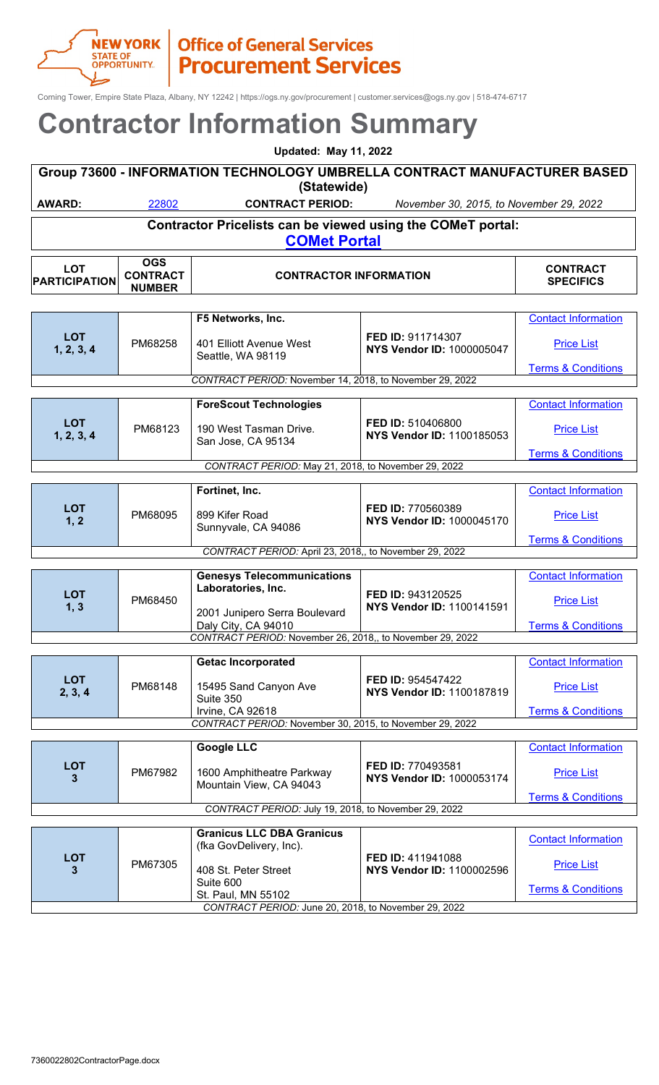

Corning Tower, Empire State Plaza, Albany, NY 12242 | https://ogs.ny.gov/procurement | customer.services@ogs.ny.gov | 518-474-6717

| <b>Updated: May 11, 2022</b>                                                             |                                                                                    |                         |                                         |                 |  |
|------------------------------------------------------------------------------------------|------------------------------------------------------------------------------------|-------------------------|-----------------------------------------|-----------------|--|
| Group 73600 - INFORMATION TECHNOLOGY UMBRELLA CONTRACT MANUFACTURER BASED<br>(Statewide) |                                                                                    |                         |                                         |                 |  |
| <b>AWARD:</b>                                                                            | 22802                                                                              | <b>CONTRACT PERIOD:</b> | November 30, 2015, to November 29, 2022 |                 |  |
|                                                                                          | Contractor Pricelists can be viewed using the COMeT portal:<br><b>COMet Portal</b> |                         |                                         |                 |  |
| <b>LOT</b>                                                                               | <b>OGS</b><br><b>CONTDACT</b>                                                      | CONITRACTOR INFORMATION |                                         | <b>CONTRACT</b> |  |

| <b>LOT</b><br><b>PARTICIPATION</b>                       | UGS<br><b>CONTRACT</b><br><b>NUMBER</b> | <b>CONTRACTOR INFORMATION</b>                             | <b>CONTRACT</b><br><b>SPECIFICS</b>                   |                               |  |
|----------------------------------------------------------|-----------------------------------------|-----------------------------------------------------------|-------------------------------------------------------|-------------------------------|--|
|                                                          |                                         |                                                           |                                                       |                               |  |
|                                                          |                                         | F5 Networks, Inc.                                         |                                                       | <b>Contact Information</b>    |  |
| <b>LOT</b><br>1, 2, 3, 4                                 | PM68258                                 | 401 Elliott Avenue West<br>Seattle, WA 98119              | FED ID: 911714307<br><b>NYS Vendor ID: 1000005047</b> | <b>Price List</b>             |  |
|                                                          |                                         |                                                           |                                                       | <b>Terms &amp; Conditions</b> |  |
| CONTRACT PERIOD: November 14, 2018, to November 29, 2022 |                                         |                                                           |                                                       |                               |  |
|                                                          |                                         | <b>ForeScout Technologies</b>                             |                                                       | <b>Contact Information</b>    |  |
| <b>LOT</b><br>1, 2, 3, 4                                 | PM68123                                 | 190 West Tasman Drive.<br>San Jose, CA 95134              | FED ID: 510406800<br>NYS Vendor ID: 1100185053        | <b>Price List</b>             |  |
|                                                          |                                         |                                                           |                                                       | <b>Terms &amp; Conditions</b> |  |
|                                                          |                                         | CONTRACT PERIOD: May 21, 2018, to November 29, 2022       |                                                       |                               |  |
|                                                          |                                         | Fortinet, Inc.                                            |                                                       | <b>Contact Information</b>    |  |
| <b>LOT</b><br>1, 2                                       | PM68095                                 | 899 Kifer Road<br>Sunnyvale, CA 94086                     | FED ID: 770560389<br><b>NYS Vendor ID: 1000045170</b> | <b>Price List</b>             |  |
|                                                          |                                         |                                                           |                                                       | <b>Terms &amp; Conditions</b> |  |
| CONTRACT PERIOD: April 23, 2018,, to November 29, 2022   |                                         |                                                           |                                                       |                               |  |
|                                                          |                                         | <b>Genesys Telecommunications</b>                         |                                                       | <b>Contact Information</b>    |  |
| <b>LOT</b><br>1, 3                                       | PM68450                                 | Laboratories, Inc.                                        | FED ID: 943120525<br><b>NYS Vendor ID: 1100141591</b> | <b>Price List</b>             |  |
|                                                          |                                         | 2001 Junipero Serra Boulevard<br>Daly City, CA 94010      |                                                       | <b>Terms &amp; Conditions</b> |  |
|                                                          |                                         | CONTRACT PERIOD: November 26, 2018,, to November 29, 2022 |                                                       |                               |  |
|                                                          |                                         |                                                           |                                                       |                               |  |
|                                                          |                                         | <b>Getac Incorporated</b>                                 |                                                       | <b>Contact Information</b>    |  |
| <b>LOT</b><br>2, 3, 4                                    | PM68148                                 | 15495 Sand Canyon Ave<br>Suite 350                        | FED ID: 954547422<br><b>NYS Vendor ID: 1100187819</b> | <b>Price List</b>             |  |
|                                                          |                                         | Irvine, CA 92618                                          |                                                       | <b>Terms &amp; Conditions</b> |  |
|                                                          |                                         | CONTRACT PERIOD: November 30, 2015, to November 29, 2022  |                                                       |                               |  |
|                                                          |                                         | <b>Google LLC</b>                                         |                                                       | <b>Contact Information</b>    |  |
| <b>LOT</b><br>3                                          | PM67982                                 | 1600 Amphitheatre Parkway<br>Mountain View, CA 94043      | FED ID: 770493581<br>NYS Vendor ID: 1000053174        | <b>Price List</b>             |  |
|                                                          |                                         |                                                           |                                                       | <b>Terms &amp; Conditions</b> |  |
|                                                          |                                         | CONTRACT PERIOD: July 19, 2018, to November 29, 2022      |                                                       |                               |  |
|                                                          |                                         | <b>Granicus LLC DBA Granicus</b>                          |                                                       |                               |  |
|                                                          |                                         | (fka GovDelivery, Inc).                                   |                                                       | <b>Contact Information</b>    |  |
| <b>LOT</b><br>3                                          | PM67305                                 | 408 St. Peter Street                                      | FED ID: 411941088<br>NYS Vendor ID: 1100002596        | <b>Price List</b>             |  |
|                                                          |                                         | Suite 600<br>St. Paul, MN 55102                           |                                                       | <b>Terms &amp; Conditions</b> |  |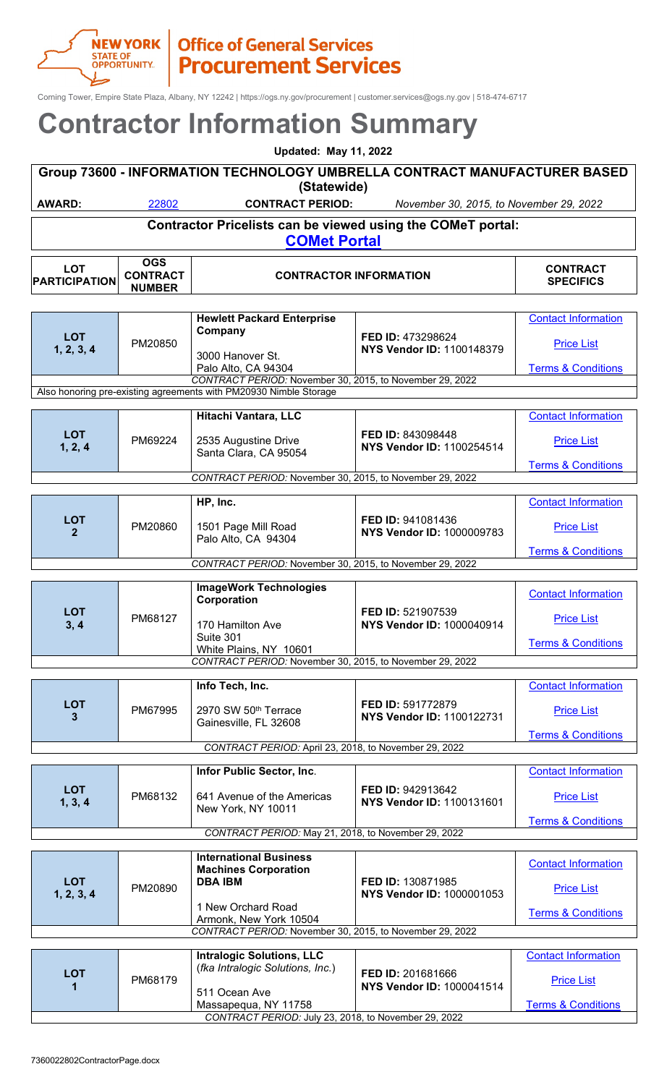#### **NEW YORK | Office of General Services**<br>
STATE OF | **Procurement Service Procurement Services**

Corning Tower, Empire State Plaza, Albany, NY 12242 | https://ogs.ny.gov/procurement | customer.services@ogs.ny.gov | 518-474-6717

### **Contractor Information Summary**

| <b>Updated: May 11, 2022</b>                                                             |                               |                                                                                    |                                         |                                     |  |
|------------------------------------------------------------------------------------------|-------------------------------|------------------------------------------------------------------------------------|-----------------------------------------|-------------------------------------|--|
| Group 73600 - INFORMATION TECHNOLOGY UMBRELLA CONTRACT MANUFACTURER BASED<br>(Statewide) |                               |                                                                                    |                                         |                                     |  |
| <b>AWARD:</b>                                                                            | 22802                         | <b>CONTRACT PERIOD:</b>                                                            | November 30, 2015, to November 29, 2022 |                                     |  |
|                                                                                          |                               | Contractor Pricelists can be viewed using the COMeT portal:<br><b>COMet Portal</b> |                                         |                                     |  |
| <b>LOT</b><br><b>DA DTICIDATION</b>                                                      | <b>OGS</b><br><b>CONTRACT</b> | <b>CONTRACTOR INFORMATION</b>                                                      |                                         | <b>CONTRACT</b><br><b>CDECIEICS</b> |  |

**SPECIFICS**

[Price List](https://ogs.ny.gov/comet)

**[Terms & Conditions](https://online.ogs.ny.gov/purchase/snt/awardnotes/7360022802TC_Intralogic.pdf)** 

|                            | <b>NUMBER</b> |                                                                      |                                                       |                               |
|----------------------------|---------------|----------------------------------------------------------------------|-------------------------------------------------------|-------------------------------|
|                            |               |                                                                      |                                                       |                               |
|                            |               | <b>Hewlett Packard Enterprise</b>                                    |                                                       | <b>Contact Information</b>    |
| <b>LOT</b><br>1, 2, 3, 4   | PM20850       | Company                                                              | FED ID: 473298624<br><b>NYS Vendor ID: 1100148379</b> | <b>Price List</b>             |
|                            |               | 3000 Hanover St.<br>Palo Alto, CA 94304                              |                                                       | <b>Terms &amp; Conditions</b> |
|                            |               | CONTRACT PERIOD: November 30, 2015, to November 29, 2022             |                                                       |                               |
|                            |               | Also honoring pre-existing agreements with PM20930 Nimble Storage    |                                                       |                               |
|                            |               | Hitachi Vantara, LLC                                                 |                                                       | <b>Contact Information</b>    |
| <b>LOT</b><br>1, 2, 4      | PM69224       | 2535 Augustine Drive<br>Santa Clara, CA 95054                        | FED ID: 843098448<br>NYS Vendor ID: 1100254514        | <b>Price List</b>             |
|                            |               |                                                                      |                                                       | <b>Terms &amp; Conditions</b> |
|                            |               | CONTRACT PERIOD: November 30, 2015, to November 29, 2022             |                                                       |                               |
|                            |               | HP, Inc.                                                             |                                                       | <b>Contact Information</b>    |
| <b>LOT</b><br>$\mathbf{2}$ | PM20860       | 1501 Page Mill Road<br>Palo Alto, CA 94304                           | FED ID: 941081436<br>NYS Vendor ID: 1000009783        | <b>Price List</b>             |
|                            |               |                                                                      |                                                       | <b>Terms &amp; Conditions</b> |
|                            |               | CONTRACT PERIOD: November 30, 2015, to November 29, 2022             |                                                       |                               |
|                            |               |                                                                      |                                                       |                               |
|                            |               | <b>ImageWork Technologies</b><br>Corporation                         |                                                       | <b>Contact Information</b>    |
| <b>LOT</b><br>3, 4         | PM68127       | 170 Hamilton Ave                                                     | FED ID: 521907539<br>NYS Vendor ID: 1000040914        | <b>Price List</b>             |
|                            |               | Suite 301<br>White Plains, NY 10601                                  |                                                       | <b>Terms &amp; Conditions</b> |
|                            |               | CONTRACT PERIOD: November 30, 2015, to November 29, 2022             |                                                       |                               |
|                            |               |                                                                      |                                                       |                               |
|                            |               | Info Tech, Inc.                                                      |                                                       | <b>Contact Information</b>    |
| <b>LOT</b><br>3            | PM67995       | 2970 SW 50th Terrace<br>Gainesville, FL 32608                        | FED ID: 591772879<br>NYS Vendor ID: 1100122731        | <b>Price List</b>             |
|                            |               |                                                                      |                                                       | <b>Terms &amp; Conditions</b> |
|                            |               | CONTRACT PERIOD: April 23, 2018, to November 29, 2022                |                                                       |                               |
|                            |               | Infor Public Sector, Inc.                                            |                                                       | <b>Contact Information</b>    |
|                            |               |                                                                      |                                                       |                               |
| <b>LOT</b><br>1, 3, 4      | PM68132       | 641 Avenue of the Americas<br>New York, NY 10011                     | FED ID: 942913642<br><b>NYS Vendor ID: 1100131601</b> | <b>Price List</b>             |
|                            |               |                                                                      |                                                       | <b>Terms &amp; Conditions</b> |
|                            |               | CONTRACT PERIOD: May 21, 2018, to November 29, 2022                  |                                                       |                               |
|                            |               | <b>International Business</b>                                        |                                                       |                               |
|                            |               | <b>Machines Corporation</b>                                          |                                                       | <b>Contact Information</b>    |
| <b>LOT</b><br>1, 2, 3, 4   | PM20890       | <b>DBA IBM</b>                                                       | FED ID: 130871985<br>NYS Vendor ID: 1000001053        | <b>Price List</b>             |
|                            |               | 1 New Orchard Road<br>Armonk, New York 10504                         |                                                       | <b>Terms &amp; Conditions</b> |
|                            |               | CONTRACT PERIOD: November 30, 2015, to November 29, 2022             |                                                       |                               |
|                            |               |                                                                      |                                                       |                               |
|                            |               | <b>Intralogic Solutions, LLC</b><br>(fka Intralogic Solutions, Inc.) |                                                       | <b>Contact Information</b>    |
| <b>LOT</b>                 |               |                                                                      | FED ID: 201681666                                     |                               |

*CONTRACT PERIOD:* July 23, 2018, to November 29, 2022

**NYS Vendor ID:** 1000041514

**<sup>1</sup>** PM68179

511 Ocean Ave

Massapequa, NY 11758

**PARTICIPATION**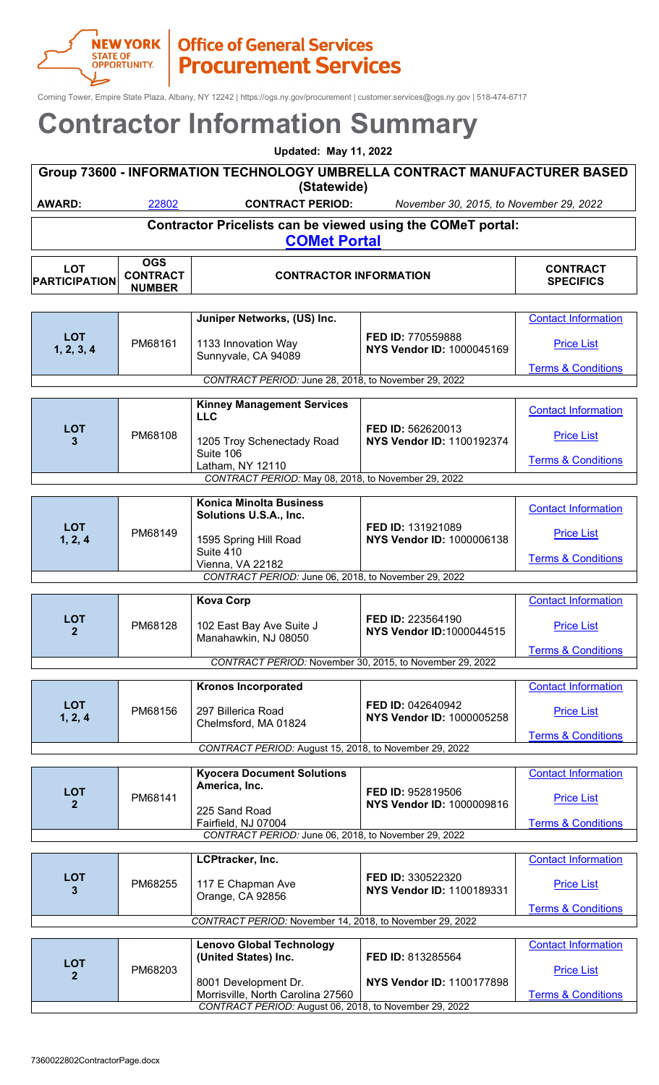## **NEW YORK | Office of General Services**<br>
Office of General Services<br>
Procurement Services

Corning Tower, Empire State Plaza, Albany, NY 12242 | https://ogs.ny.gov/procurement | customer.services@ogs.ny.gov | 518-474-6717

| <b>Contractor Information Summary</b> |                                                                             |                                                                                    |                                                       |                                     |
|---------------------------------------|-----------------------------------------------------------------------------|------------------------------------------------------------------------------------|-------------------------------------------------------|-------------------------------------|
|                                       |                                                                             | <b>Updated: May 11, 2022</b>                                                       |                                                       |                                     |
|                                       |                                                                             | Group 73600 - INFORMATION TECHNOLOGY UMBRELLA CONTRACT MANUFACTURER BASED          |                                                       |                                     |
|                                       |                                                                             | (Statewide)                                                                        |                                                       |                                     |
| <b>AWARD:</b>                         | 22802<br><b>CONTRACT PERIOD:</b><br>November 30, 2015, to November 29, 2022 |                                                                                    |                                                       |                                     |
|                                       |                                                                             | Contractor Pricelists can be viewed using the COMeT portal:<br><b>COMet Portal</b> |                                                       |                                     |
| <b>LOT</b><br><b>PARTICIPATION</b>    | <b>OGS</b><br><b>CONTRACT</b><br><b>NUMBER</b>                              | <b>CONTRACTOR INFORMATION</b>                                                      |                                                       | <b>CONTRACT</b><br><b>SPECIFICS</b> |
|                                       |                                                                             |                                                                                    |                                                       |                                     |
|                                       |                                                                             | Juniper Networks, (US) Inc.                                                        |                                                       | <b>Contact Information</b>          |
| <b>LOT</b><br>1, 2, 3, 4              | PM68161                                                                     | 1133 Innovation Way<br>Sunnyvale, CA 94089                                         | FED ID: 770559888<br><b>NYS Vendor ID: 1000045169</b> | <b>Price List</b>                   |
|                                       |                                                                             |                                                                                    |                                                       | <b>Terms &amp; Conditions</b>       |
|                                       |                                                                             | CONTRACT PERIOD: June 28, 2018, to November 29, 2022                               |                                                       |                                     |
|                                       |                                                                             | <b>Kinney Management Services</b><br><b>LLC</b>                                    |                                                       | <b>Contact Information</b>          |
| <b>LOT</b><br>3                       | PM68108                                                                     | 1205 Troy Schenectady Road                                                         | FED ID: 562620013<br>NYS Vendor ID: 1100192374        | <b>Price List</b>                   |
|                                       |                                                                             | Suite 106<br>Latham, NY 12110                                                      |                                                       | <b>Terms &amp; Conditions</b>       |
|                                       |                                                                             | CONTRACT PERIOD: May 08, 2018, to November 29, 2022                                |                                                       |                                     |
|                                       |                                                                             | <b>Konica Minolta Business</b>                                                     |                                                       |                                     |
|                                       |                                                                             | Solutions U.S.A., Inc.                                                             |                                                       | <b>Contact Information</b>          |
| <b>LOT</b><br>1, 2, 4                 | PM68149                                                                     | 1595 Spring Hill Road<br>Suite 410                                                 | FED ID: 131921089<br><b>NYS Vendor ID: 1000006138</b> | <b>Price List</b>                   |
|                                       |                                                                             | Vienna, VA 22182                                                                   |                                                       | <b>Terms &amp; Conditions</b>       |
|                                       |                                                                             | CONTRACT PERIOD: June 06, 2018, to November 29, 2022                               |                                                       |                                     |
|                                       |                                                                             | <b>Kova Corp</b>                                                                   |                                                       | <b>Contact Information</b>          |
| <b>LOT</b>                            |                                                                             |                                                                                    | FED ID: 223564190                                     |                                     |
| $\mathbf{2}$                          | PM68128                                                                     | 102 East Bay Ave Suite J<br>Manahawkin, NJ 08050                                   | <b>NYS Vendor ID:1000044515</b>                       | <b>Price List</b>                   |
|                                       |                                                                             | CONTRACT PERIOD: November 30, 2015, to November 29, 2022                           |                                                       | <b>Terms &amp; Conditions</b>       |
|                                       |                                                                             |                                                                                    |                                                       |                                     |
|                                       |                                                                             | <b>Kronos Incorporated</b>                                                         |                                                       | <b>Contact Information</b>          |
| <b>LOT</b><br>1, 2, 4                 | PM68156                                                                     | 297 Billerica Road<br>Chelmsford, MA 01824                                         | FED ID: 042640942<br>NYS Vendor ID: 1000005258        | <b>Price List</b>                   |
|                                       |                                                                             | CONTRACT PERIOD: August 15, 2018, to November 29, 2022                             |                                                       | <b>Terms &amp; Conditions</b>       |

| <b>LOT</b>      |         | <b>Kyocera Document Solutions</b> |                                                         | <b>Contact Information</b>                         |  |  |
|-----------------|---------|-----------------------------------|---------------------------------------------------------|----------------------------------------------------|--|--|
|                 | PM68141 | America, Inc.                     | <b>FED ID: 952819506</b>                                | <b>Price List</b><br><b>Terms &amp; Conditions</b> |  |  |
|                 |         | 225 Sand Road                     | <b>NYS Vendor ID: 1000009816</b>                        |                                                    |  |  |
|                 |         | Fairfield, NJ 07004               |                                                         |                                                    |  |  |
|                 |         |                                   |                                                         |                                                    |  |  |
|                 |         |                                   |                                                         |                                                    |  |  |
|                 |         | LCPtracker, Inc.                  |                                                         | <b>Contact Information</b>                         |  |  |
| <b>LOT</b><br>2 | PM68255 | 117 E Chapman Ave                 | FED ID: 330522320<br><b>NIVE Vondor ID</b> . 1100180331 | <b>Price List</b>                                  |  |  |

| LOT                                                    | PM68255 | 117 E Chapman Ave<br>Orange, CA 92856                    | <b>FED ID: 330522320</b><br>NYS Vendor ID: 1100189331 | <b>Price List</b>             |
|--------------------------------------------------------|---------|----------------------------------------------------------|-------------------------------------------------------|-------------------------------|
|                                                        |         |                                                          |                                                       | <b>Terms &amp; Conditions</b> |
|                                                        |         | CONTRACT PERIOD: November 14, 2018, to November 29, 2022 |                                                       |                               |
|                                                        |         |                                                          |                                                       |                               |
|                                                        |         | <b>Lenovo Global Technology</b>                          |                                                       | <b>Contact Information</b>    |
| <b>LOT</b>                                             |         | (United States) Inc.                                     | FED ID: 813285564                                     |                               |
|                                                        | PM68203 |                                                          |                                                       | <b>Price List</b>             |
|                                                        |         | 8001 Development Dr.                                     | NYS Vendor ID: 1100177898                             |                               |
|                                                        |         | Morrisville, North Carolina 27560                        |                                                       | <b>Terms &amp; Conditions</b> |
| CONTRACT PERIOD: August 06, 2018, to November 29, 2022 |         |                                                          |                                                       |                               |
|                                                        |         |                                                          |                                                       |                               |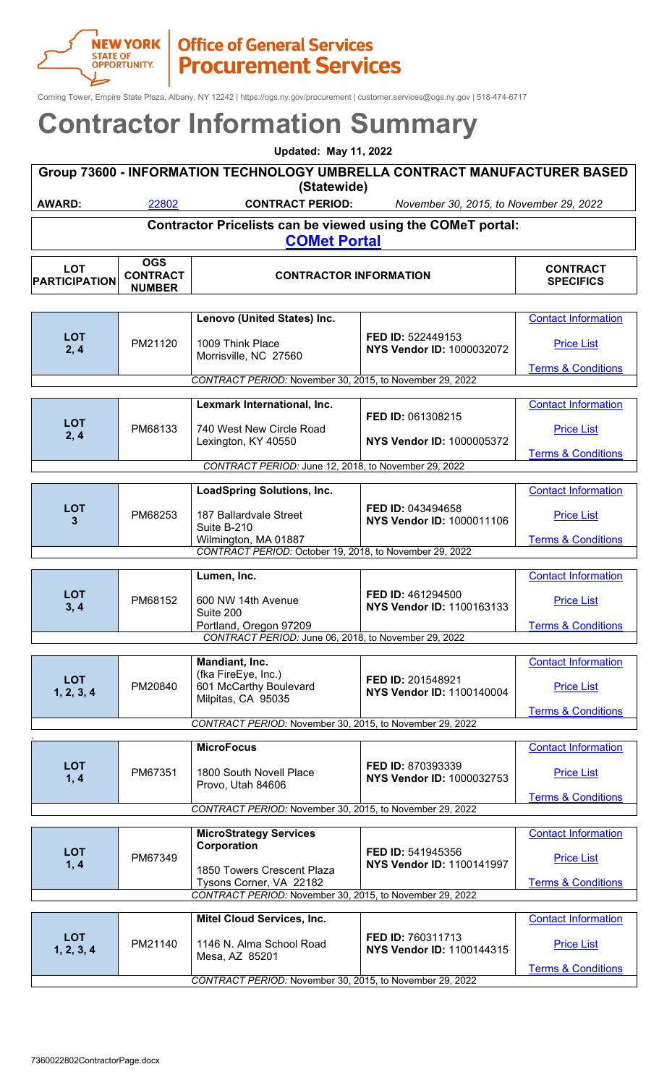

# **TREW YORK | Office of General Services**<br> **STATE OF PROCUREMENT SERVICES**

Corning Tower, Empire State Plaza, Albany, NY 12242 | https://ogs.ny.gov/procurement | customer.services@ogs.ny.gov | 518-474-6717

| <b>Updated: May 11, 2022</b>                                                             |            |                         |                                         |             |  |
|------------------------------------------------------------------------------------------|------------|-------------------------|-----------------------------------------|-------------|--|
| Group 73600 - INFORMATION TECHNOLOGY UMBRELLA CONTRACT MANUFACTURER BASED<br>(Statewide) |            |                         |                                         |             |  |
| <b>AWARD:</b>                                                                            | 22802      | <b>CONTRACT PERIOD:</b> | November 30, 2015, to November 29, 2022 |             |  |
| Contractor Pricelists can be viewed using the COMeT portal:<br><b>COMet Portal</b>       |            |                         |                                         |             |  |
| $\sqrt{2}$                                                                               | <b>OGS</b> |                         |                                         | CONITO A CT |  |

| <b>LOT</b><br><b>PARTICIPATION</b>                       | <b>CONTRACT</b><br><b>NUMBER</b>                         | <b>CONTRACTOR INFORMATION</b>                            | <b>CONTRACT</b><br><b>SPECIFICS</b>                   |                               |  |
|----------------------------------------------------------|----------------------------------------------------------|----------------------------------------------------------|-------------------------------------------------------|-------------------------------|--|
|                                                          |                                                          |                                                          |                                                       |                               |  |
|                                                          |                                                          | Lenovo (United States) Inc.                              |                                                       | <b>Contact Information</b>    |  |
| <b>LOT</b><br>2, 4                                       | PM21120                                                  | 1009 Think Place<br>Morrisville, NC 27560                | FED ID: 522449153<br>NYS Vendor ID: 1000032072        | <b>Price List</b>             |  |
|                                                          |                                                          |                                                          |                                                       | <b>Terms &amp; Conditions</b> |  |
| CONTRACT PERIOD: November 30, 2015, to November 29, 2022 |                                                          |                                                          |                                                       |                               |  |
|                                                          |                                                          | Lexmark International, Inc.                              |                                                       | <b>Contact Information</b>    |  |
| <b>LOT</b>                                               |                                                          |                                                          | FED ID: 061308215                                     |                               |  |
| 2, 4                                                     | PM68133                                                  | 740 West New Circle Road<br>Lexington, KY 40550          | NYS Vendor ID: 1000005372                             | <b>Price List</b>             |  |
|                                                          |                                                          |                                                          |                                                       | <b>Terms &amp; Conditions</b> |  |
|                                                          |                                                          | CONTRACT PERIOD: June 12, 2018, to November 29, 2022     |                                                       |                               |  |
|                                                          |                                                          | <b>LoadSpring Solutions, Inc.</b>                        |                                                       | <b>Contact Information</b>    |  |
| <b>LOT</b>                                               |                                                          |                                                          | FED ID: 043494658                                     |                               |  |
| 3                                                        | PM68253                                                  | 187 Ballardvale Street<br>Suite B-210                    | NYS Vendor ID: 1000011106                             | <b>Price List</b>             |  |
|                                                          |                                                          | Wilmington, MA 01887                                     |                                                       | <b>Terms &amp; Conditions</b> |  |
| CONTRACT PERIOD: October 19, 2018, to November 29, 2022  |                                                          |                                                          |                                                       |                               |  |
|                                                          |                                                          | Lumen, Inc.                                              |                                                       | <b>Contact Information</b>    |  |
| <b>LOT</b><br>3, 4                                       | PM68152                                                  | 600 NW 14th Avenue                                       | FED ID: 461294500<br>NYS Vendor ID: 1100163133        | <b>Price List</b>             |  |
|                                                          |                                                          | Suite 200<br>Portland, Oregon 97209                      |                                                       | <b>Terms &amp; Conditions</b> |  |
|                                                          |                                                          | CONTRACT PERIOD: June 06, 2018, to November 29, 2022     |                                                       |                               |  |
|                                                          |                                                          | Mandiant, Inc.                                           |                                                       | <b>Contact Information</b>    |  |
| <b>LOT</b><br>1, 2, 3, 4                                 | PM20840                                                  | (fka FireEye, Inc.)<br>601 McCarthy Boulevard            | FED ID: 201548921<br>NYS Vendor ID: 1100140004        | <b>Price List</b>             |  |
|                                                          |                                                          | Milpitas, CA 95035                                       | <b>Terms &amp; Conditions</b>                         |                               |  |
|                                                          |                                                          | CONTRACT PERIOD: November 30, 2015, to November 29, 2022 |                                                       |                               |  |
|                                                          |                                                          |                                                          |                                                       |                               |  |
|                                                          |                                                          | <b>MicroFocus</b>                                        |                                                       | <b>Contact Information</b>    |  |
| <b>LOT</b><br>1, 4                                       | PM67351                                                  | 1800 South Novell Place<br>Provo, Utah 84606             | FED ID: 870393339<br>NYS Vendor ID: 1000032753        | <b>Price List</b>             |  |
|                                                          |                                                          |                                                          |                                                       | <b>Terms &amp; Conditions</b> |  |
|                                                          | CONTRACT PERIOD: November 30, 2015, to November 29, 2022 |                                                          |                                                       |                               |  |
|                                                          |                                                          | <b>MicroStrategy Services</b>                            |                                                       | <b>Contact Information</b>    |  |
| <b>LOT</b><br>1, 4                                       | PM67349                                                  | Corporation<br>1850 Towers Crescent Plaza                | FED ID: 541945356<br><b>NYS Vendor ID: 1100141997</b> | <b>Price List</b>             |  |
|                                                          |                                                          | Tysons Corner, VA 22182                                  |                                                       | <b>Terms &amp; Conditions</b> |  |
|                                                          |                                                          | CONTRACT PERIOD: November 30, 2015, to November 29, 2022 |                                                       |                               |  |
|                                                          |                                                          |                                                          |                                                       |                               |  |

|                                                          |         | <b>Mitel Cloud Services, Inc.</b>          |                                                       | <b>Contact Information</b>    |
|----------------------------------------------------------|---------|--------------------------------------------|-------------------------------------------------------|-------------------------------|
| <b>LOT</b><br>1, 2, 3, 4                                 | PM21140 | 1146 N. Alma School Road<br>Mesa, AZ 85201 | <b>FED ID: 760311713</b><br>NYS Vendor ID: 1100144315 | <b>Price List</b>             |
|                                                          |         |                                            |                                                       | <b>Terms &amp; Conditions</b> |
| CONTRACT PERIOD: November 30, 2015, to November 29, 2022 |         |                                            |                                                       |                               |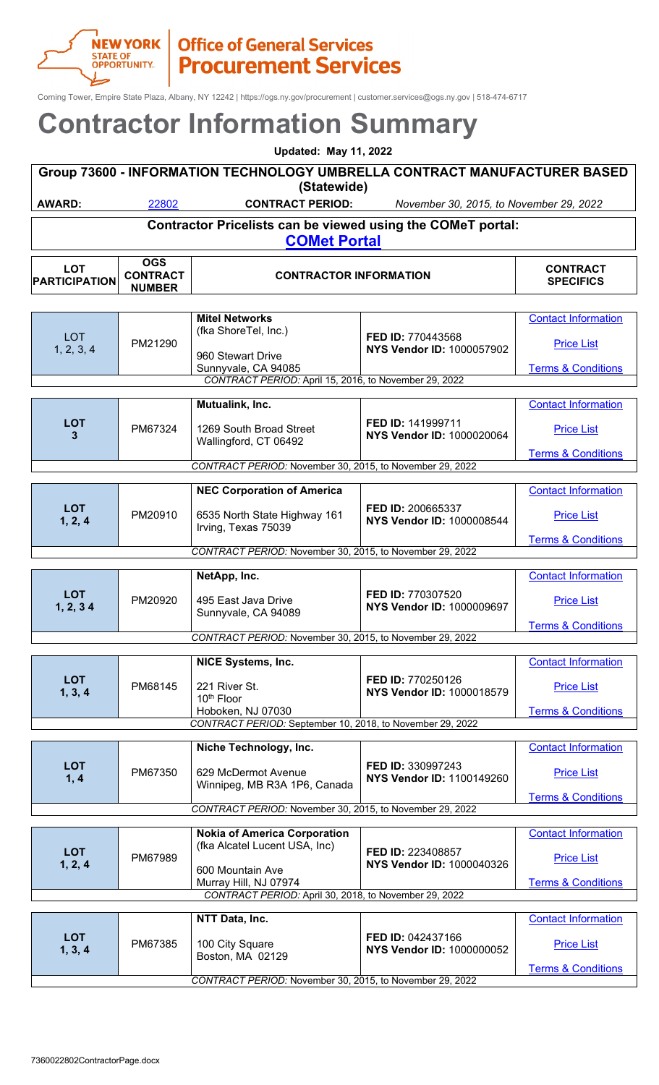Corning Tower, Empire State Plaza, Albany, NY 12242 | https://ogs.ny.gov/procurement | customer.services@ogs.ny.gov | 518-474-6717

|            |                        | <b>Updated: May 11, 2022</b>                                                             |                                         |                 |
|------------|------------------------|------------------------------------------------------------------------------------------|-----------------------------------------|-----------------|
|            |                        | Group 73600 - INFORMATION TECHNOLOGY UMBRELLA CONTRACT MANUFACTURER BASED<br>(Statewide) |                                         |                 |
| AWARD:     | 22802                  | <b>CONTRACT PERIOD:</b>                                                                  | November 30, 2015, to November 29, 2022 |                 |
|            |                        | Contractor Pricelists can be viewed using the COMeT portal:<br><b>COMet Portal</b>       |                                         |                 |
| <b>LOT</b> | OGS<br><b>CONTRACT</b> | CONTRACTOR INFORMATION                                                                   |                                         | <b>CONTRACT</b> |

| <b>PARTICIPATION</b> | <b>CONTRACT</b><br><b>NUMBER</b> | <b>CONTRACTOR INFORMATION</b>                             |                                  | <b>SPECIFICS</b>              |
|----------------------|----------------------------------|-----------------------------------------------------------|----------------------------------|-------------------------------|
|                      |                                  |                                                           |                                  |                               |
|                      |                                  | <b>Mitel Networks</b>                                     |                                  | <b>Contact Information</b>    |
|                      |                                  | (fka ShoreTel, Inc.)                                      |                                  |                               |
| LOT                  | PM21290                          |                                                           | FED ID: 770443568                | <b>Price List</b>             |
| 1, 2, 3, 4           |                                  | 960 Stewart Drive                                         | <b>NYS Vendor ID: 1000057902</b> |                               |
|                      |                                  | Sunnyvale, CA 94085                                       |                                  | <b>Terms &amp; Conditions</b> |
|                      |                                  | CONTRACT PERIOD: April 15, 2016, to November 29, 2022     |                                  |                               |
|                      |                                  |                                                           |                                  |                               |
|                      |                                  | Mutualink, Inc.                                           |                                  | <b>Contact Information</b>    |
|                      |                                  |                                                           |                                  |                               |
| <b>LOT</b>           | PM67324                          | 1269 South Broad Street                                   | FED ID: 141999711                | <b>Price List</b>             |
| 3                    |                                  | Wallingford, CT 06492                                     | NYS Vendor ID: 1000020064        |                               |
|                      |                                  |                                                           |                                  | <b>Terms &amp; Conditions</b> |
|                      |                                  | CONTRACT PERIOD: November 30, 2015, to November 29, 2022  |                                  |                               |
|                      |                                  |                                                           |                                  |                               |
|                      |                                  | <b>NEC Corporation of America</b>                         |                                  | <b>Contact Information</b>    |
| <b>LOT</b>           |                                  |                                                           | FED ID: 200665337                |                               |
| 1, 2, 4              | PM20910                          | 6535 North State Highway 161                              | NYS Vendor ID: 1000008544        | <b>Price List</b>             |
|                      |                                  | Irving, Texas 75039                                       |                                  |                               |
|                      |                                  |                                                           |                                  | <b>Terms &amp; Conditions</b> |
|                      |                                  | CONTRACT PERIOD: November 30, 2015, to November 29, 2022  |                                  |                               |
|                      |                                  |                                                           |                                  |                               |
|                      |                                  | NetApp, Inc.                                              |                                  | <b>Contact Information</b>    |
| <b>LOT</b>           |                                  |                                                           | FED ID: 770307520                |                               |
| 1, 2, 34             | PM20920                          | 495 East Java Drive                                       | NYS Vendor ID: 1000009697        | <b>Price List</b>             |
|                      |                                  | Sunnyvale, CA 94089                                       |                                  |                               |
|                      |                                  | CONTRACT PERIOD: November 30, 2015, to November 29, 2022  |                                  | <b>Terms &amp; Conditions</b> |
|                      |                                  |                                                           |                                  |                               |
|                      |                                  | <b>NICE Systems, Inc.</b>                                 |                                  | <b>Contact Information</b>    |
|                      |                                  |                                                           |                                  |                               |
| <b>LOT</b>           | PM68145                          | 221 River St.                                             | FED ID: 770250126                | <b>Price List</b>             |
| 1, 3, 4              |                                  | 10th Floor                                                | NYS Vendor ID: 1000018579        |                               |
|                      |                                  | Hoboken, NJ 07030                                         |                                  | <b>Terms &amp; Conditions</b> |
|                      |                                  | CONTRACT PERIOD: September 10, 2018, to November 29, 2022 |                                  |                               |
|                      |                                  |                                                           |                                  |                               |
|                      |                                  | Niche Technology, Inc.                                    |                                  | <b>Contact Information</b>    |
| <b>LOT</b>           |                                  |                                                           | FED ID: 330997243                |                               |
| 1, 4                 | PM67350                          | 629 McDermot Avenue                                       | <b>NYS Vendor ID: 1100149260</b> | <b>Price List</b>             |
|                      |                                  | Winnipeg, MB R3A 1P6, Canada                              |                                  |                               |
|                      |                                  |                                                           |                                  | <b>Terms &amp; Conditions</b> |
|                      |                                  | CONTRACT PERIOD: November 30, 2015, to November 29, 2022  |                                  |                               |
|                      |                                  | <b>Nokia of America Corporation</b>                       |                                  | <b>Contact Information</b>    |
|                      |                                  | (fka Alcatel Lucent USA, Inc)                             |                                  |                               |
| <b>LOT</b>           | PM67989                          |                                                           | FED ID: 223408857                | <b>Price List</b>             |
| 1, 2, 4              |                                  | 600 Mountain Ave                                          | NYS Vendor ID: 1000040326        |                               |
|                      |                                  | Murray Hill, NJ 07974                                     |                                  | <b>Terms &amp; Conditions</b> |
|                      |                                  | CONTRACT PERIOD: April 30, 2018, to November 29, 2022     |                                  |                               |
|                      |                                  |                                                           |                                  |                               |
|                      |                                  | NTT Data, Inc.                                            |                                  | <b>Contact Information</b>    |
|                      |                                  |                                                           |                                  |                               |
| <b>LOT</b>           | PM67385                          | 100 City Square                                           | FED ID: 042437166                | <b>Price List</b>             |
| 1, 3, 4              |                                  | Boston, MA 02129                                          | <b>NYS Vendor ID: 1000000052</b> |                               |
|                      |                                  |                                                           |                                  | <b>Terms &amp; Conditions</b> |
|                      |                                  | CONTRACT PERIOD: November 30, 2015, to November 29, 2022  |                                  |                               |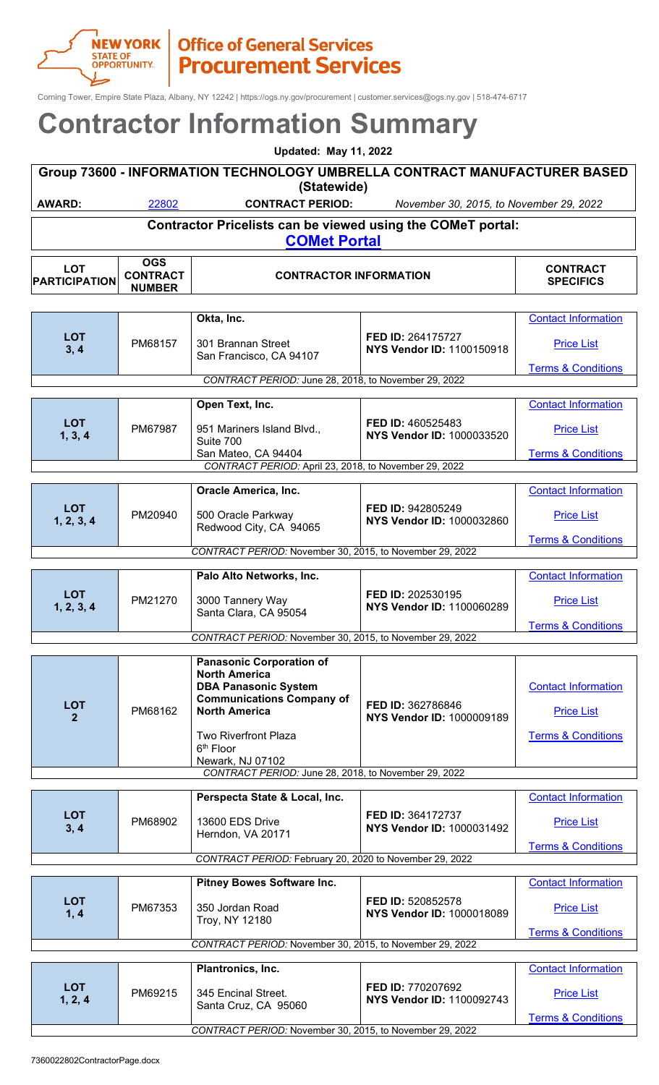Corning Tower, Empire State Plaza, Albany, NY 12242 | https://ogs.ny.gov/procurement | customer.services@ogs.ny.gov | 518-474-6717

| <b>Updated: May 11, 2022</b>                                                             |            |                         |                                         |          |  |
|------------------------------------------------------------------------------------------|------------|-------------------------|-----------------------------------------|----------|--|
| Group 73600 - INFORMATION TECHNOLOGY UMBRELLA CONTRACT MANUFACTURER BASED<br>(Statewide) |            |                         |                                         |          |  |
| <b>AWARD:</b>                                                                            | 22802      | <b>CONTRACT PERIOD:</b> | November 30, 2015, to November 29, 2022 |          |  |
| Contractor Pricelists can be viewed using the COMeT portal:<br><b>COMet Portal</b>       |            |                         |                                         |          |  |
| ΩT                                                                                       | <b>OGS</b> |                         |                                         | CONTDACT |  |

| <b>LOT</b><br><b>PARTICIPATION</b>                      | <b>CONTRACT</b><br><b>NUMBER</b> | <b>CONTRACTOR INFORMATION</b>                                                          |                                                       | <b>CONTRACT</b><br><b>SPECIFICS</b> |
|---------------------------------------------------------|----------------------------------|----------------------------------------------------------------------------------------|-------------------------------------------------------|-------------------------------------|
|                                                         |                                  |                                                                                        |                                                       |                                     |
|                                                         |                                  | Okta, Inc.                                                                             |                                                       | <b>Contact Information</b>          |
| <b>LOT</b><br>3, 4                                      | PM68157                          | 301 Brannan Street<br>San Francisco, CA 94107                                          | FED ID: 264175727<br>NYS Vendor ID: 1100150918        | <b>Price List</b>                   |
|                                                         |                                  |                                                                                        |                                                       | <b>Terms &amp; Conditions</b>       |
|                                                         |                                  | CONTRACT PERIOD: June 28, 2018, to November 29, 2022                                   |                                                       |                                     |
|                                                         |                                  | Open Text, Inc.                                                                        |                                                       | <b>Contact Information</b>          |
| <b>LOT</b><br>1, 3, 4                                   | PM67987                          | 951 Mariners Island Blvd.,<br>Suite 700                                                | FED ID: 460525483<br><b>NYS Vendor ID: 1000033520</b> | <b>Price List</b>                   |
|                                                         |                                  | San Mateo, CA 94404                                                                    |                                                       | <b>Terms &amp; Conditions</b>       |
|                                                         |                                  | CONTRACT PERIOD: April 23, 2018, to November 29, 2022                                  |                                                       |                                     |
|                                                         |                                  |                                                                                        |                                                       |                                     |
|                                                         |                                  | <b>Oracle America, Inc.</b>                                                            |                                                       | <b>Contact Information</b>          |
| <b>LOT</b><br>1, 2, 3, 4                                | PM20940                          | 500 Oracle Parkway<br>Redwood City, CA 94065                                           | FED ID: 942805249<br><b>NYS Vendor ID: 1000032860</b> | <b>Price List</b>                   |
|                                                         |                                  |                                                                                        |                                                       | <b>Terms &amp; Conditions</b>       |
|                                                         |                                  | CONTRACT PERIOD: November 30, 2015, to November 29, 2022                               |                                                       |                                     |
|                                                         |                                  | Palo Alto Networks, Inc.                                                               |                                                       | <b>Contact Information</b>          |
| <b>LOT</b><br>1, 2, 3, 4                                | PM21270                          | 3000 Tannery Way<br>Santa Clara, CA 95054                                              | FED ID: 202530195<br>NYS Vendor ID: 1100060289        | <b>Price List</b>                   |
|                                                         |                                  |                                                                                        | <b>Terms &amp; Conditions</b>                         |                                     |
|                                                         |                                  | CONTRACT PERIOD: November 30, 2015, to November 29, 2022                               |                                                       |                                     |
|                                                         |                                  | <b>Panasonic Corporation of</b><br><b>North America</b><br><b>DBA Panasonic System</b> |                                                       | <b>Contact Information</b>          |
| <b>LOT</b><br>$\overline{2}$                            | PM68162                          | <b>Communications Company of</b><br><b>North America</b>                               | FED ID: 362786846<br>NYS Vendor ID: 1000009189        | <b>Price List</b>                   |
|                                                         |                                  | <b>Two Riverfront Plaza</b><br>6 <sup>th</sup> Floor<br>Newark, NJ 07102               |                                                       | <b>Terms &amp; Conditions</b>       |
|                                                         |                                  | CONTRACT PERIOD: June 28, 2018, to November 29, 2022                                   |                                                       |                                     |
|                                                         |                                  | Perspecta State & Local, Inc.                                                          |                                                       | <b>Contact Information</b>          |
|                                                         |                                  |                                                                                        |                                                       |                                     |
| <b>LOT</b><br>3, 4                                      | PM68902                          | 13600 EDS Drive<br>Herndon, VA 20171                                                   | FED ID: 364172737<br><b>NYS Vendor ID: 1000031492</b> | <b>Price List</b>                   |
|                                                         |                                  |                                                                                        |                                                       | <b>Terms &amp; Conditions</b>       |
| CONTRACT PERIOD: February 20, 2020 to November 29, 2022 |                                  |                                                                                        |                                                       |                                     |

|                                                          |         | <b>Pitney Bowes Software Inc.</b>                        |                                                              | <b>Contact Information</b>    |
|----------------------------------------------------------|---------|----------------------------------------------------------|--------------------------------------------------------------|-------------------------------|
| <b>LOT</b><br>1, 4                                       | PM67353 | 350 Jordan Road<br>Troy, NY 12180                        | FED ID: 520852578<br><b>NYS Vendor ID: 1000018089</b>        | <b>Price List</b>             |
|                                                          |         |                                                          |                                                              | <b>Terms &amp; Conditions</b> |
|                                                          |         | CONTRACT PERIOD: November 30, 2015, to November 29, 2022 |                                                              |                               |
|                                                          |         |                                                          |                                                              |                               |
|                                                          |         | Plantronics, Inc.                                        |                                                              | <b>Contact Information</b>    |
| <b>LOT</b><br>1, 2, 4                                    | PM69215 | 345 Encinal Street.<br>Santa Cruz, CA 95060              | <b>FED ID: 770207692</b><br><b>NYS Vendor ID: 1100092743</b> | <b>Price List</b>             |
|                                                          |         |                                                          |                                                              | <b>Terms &amp; Conditions</b> |
| CONTRACT PERIOD: November 30, 2015, to November 29, 2022 |         |                                                          |                                                              |                               |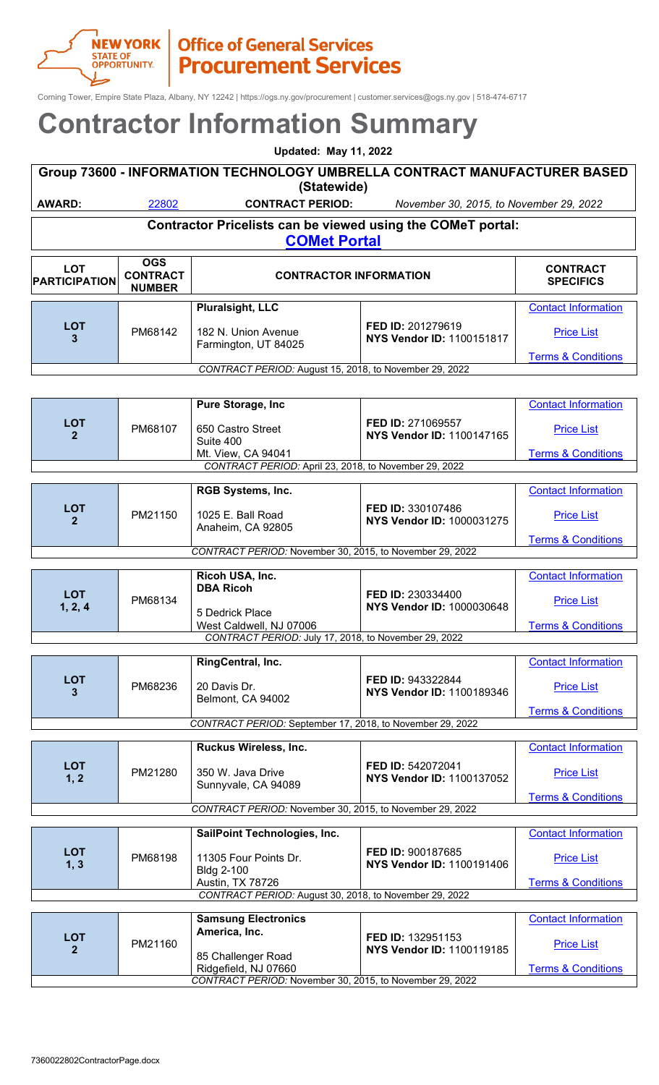

Corning Tower, Empire State Plaza, Albany, NY 12242 | https://ogs.ny.gov/procurement | customer.services@ogs.ny.gov | 518-474-6717

### **Contractor Information Summary**

| <b>Contractor Information Summary</b>                                                                       |                                                                                                                        |                                                                                    |                                                       |                               |  |
|-------------------------------------------------------------------------------------------------------------|------------------------------------------------------------------------------------------------------------------------|------------------------------------------------------------------------------------|-------------------------------------------------------|-------------------------------|--|
|                                                                                                             | <b>Updated: May 11, 2022</b>                                                                                           |                                                                                    |                                                       |                               |  |
|                                                                                                             |                                                                                                                        | Group 73600 - INFORMATION TECHNOLOGY UMBRELLA CONTRACT MANUFACTURER BASED          |                                                       |                               |  |
| <b>AWARD:</b>                                                                                               | 22802                                                                                                                  | (Statewide)<br><b>CONTRACT PERIOD:</b>                                             | November 30, 2015, to November 29, 2022               |                               |  |
|                                                                                                             |                                                                                                                        | Contractor Pricelists can be viewed using the COMeT portal:<br><b>COMet Portal</b> |                                                       |                               |  |
| <b>LOT</b><br><b>PARTICIPATION</b>                                                                          | <b>OGS</b><br><b>CONTRACT</b><br><b>CONTRACT</b><br><b>CONTRACTOR INFORMATION</b><br><b>SPECIFICS</b><br><b>NUMBER</b> |                                                                                    |                                                       |                               |  |
|                                                                                                             |                                                                                                                        | <b>Pluralsight, LLC</b>                                                            |                                                       | <b>Contact Information</b>    |  |
| <b>LOT</b><br>3                                                                                             | PM68142                                                                                                                | 182 N. Union Avenue<br>Farmington, UT 84025                                        | FED ID: 201279619<br><b>NYS Vendor ID: 1100151817</b> | <b>Price List</b>             |  |
|                                                                                                             |                                                                                                                        | CONTRACT PERIOD: August 15, 2018, to November 29, 2022                             |                                                       | <b>Terms &amp; Conditions</b> |  |
|                                                                                                             |                                                                                                                        |                                                                                    |                                                       |                               |  |
|                                                                                                             |                                                                                                                        | Pure Storage, Inc                                                                  |                                                       | <b>Contact Information</b>    |  |
| <b>LOT</b><br>2                                                                                             | PM68107                                                                                                                | 650 Castro Street<br>Suite 400                                                     | FED ID: 271069557<br>NYS Vendor ID: 1100147165        | <b>Price List</b>             |  |
|                                                                                                             |                                                                                                                        | Mt. View, CA 94041                                                                 |                                                       | <b>Terms &amp; Conditions</b> |  |
|                                                                                                             |                                                                                                                        | CONTRACT PERIOD: April 23, 2018, to November 29, 2022                              |                                                       |                               |  |
|                                                                                                             |                                                                                                                        | RGB Systems, Inc.                                                                  |                                                       | <b>Contact Information</b>    |  |
| <b>LOT</b><br>$\mathbf{2}$                                                                                  | PM21150                                                                                                                | 1025 E. Ball Road<br>Anaheim, CA 92805                                             | FED ID: 330107486<br><b>NYS Vendor ID: 1000031275</b> | <b>Price List</b>             |  |
|                                                                                                             |                                                                                                                        | CONTRACT PERIOD: November 30, 2015, to November 29, 2022                           |                                                       | <b>Terms &amp; Conditions</b> |  |
|                                                                                                             |                                                                                                                        |                                                                                    |                                                       |                               |  |
| <b>LOT</b>                                                                                                  | PM68134                                                                                                                | Ricoh USA, Inc.<br><b>DBA Ricoh</b>                                                | FED ID: 230334400<br><b>NYS Vendor ID: 1000030648</b> | <b>Contact Information</b>    |  |
| 1, 2, 4                                                                                                     |                                                                                                                        | 5 Dedrick Place                                                                    |                                                       | <b>Price List</b>             |  |
|                                                                                                             |                                                                                                                        | West Caldwell, NJ 07006<br>CONTRACT PERIOD: July 17, 2018, to November 29, 2022    |                                                       | <b>Terms &amp; Conditions</b> |  |
|                                                                                                             |                                                                                                                        | RingCentral, Inc.                                                                  |                                                       | <b>Contact Information</b>    |  |
| <b>LOT</b><br>3.                                                                                            | PM68236                                                                                                                | 20 Davis Dr.<br>Belmont, CA 94002                                                  | FED ID: 943322844<br><b>NYS Vendor ID: 1100189346</b> | <b>Price List</b>             |  |
|                                                                                                             |                                                                                                                        |                                                                                    |                                                       | <b>Terms &amp; Conditions</b> |  |
|                                                                                                             |                                                                                                                        | CONTRACT PERIOD: September 17, 2018, to November 29, 2022                          |                                                       |                               |  |
|                                                                                                             |                                                                                                                        | Ruckus Wireless, Inc.                                                              |                                                       | <b>Contact Information</b>    |  |
| <b>LOT</b><br>1, 2                                                                                          | PM21280                                                                                                                | 350 W. Java Drive<br>Sunnyvale, CA 94089                                           | FED ID: 542072041<br>NYS Vendor ID: 1100137052        | <b>Price List</b>             |  |
|                                                                                                             |                                                                                                                        |                                                                                    |                                                       | <b>Terms &amp; Conditions</b> |  |
|                                                                                                             |                                                                                                                        | CONTRACT PERIOD: November 30, 2015, to November 29, 2022                           |                                                       |                               |  |
|                                                                                                             |                                                                                                                        | SailPoint Technologies, Inc.                                                       |                                                       | <b>Contact Information</b>    |  |
| <b>LOT</b><br>1, 3                                                                                          | PM68198                                                                                                                | 11305 Four Points Dr.<br><b>Bldg 2-100</b>                                         | FED ID: 900187685<br>NYS Vendor ID: 1100191406        | <b>Price List</b>             |  |
| Austin, TX 78726<br><b>Terms &amp; Conditions</b><br>CONTRACT PERIOD: August 30, 2018, to November 29, 2022 |                                                                                                                        |                                                                                    |                                                       |                               |  |
|                                                                                                             |                                                                                                                        |                                                                                    |                                                       |                               |  |
|                                                                                                             |                                                                                                                        | <b>Samsung Electronics</b><br>America, Inc.                                        |                                                       | <b>Contact Information</b>    |  |
| <b>LOT</b><br>2 <sup>1</sup>                                                                                | PM21160                                                                                                                |                                                                                    | FED ID: 132951153<br>NYS Vendor ID: 1100119185        | <b>Price List</b>             |  |
|                                                                                                             |                                                                                                                        | 85 Challenger Road<br>Ridgefield, NJ 07660                                         |                                                       | <b>Terms &amp; Conditions</b> |  |

*CONTRACT PERIOD:* November 30, 2015, to November 29, 2022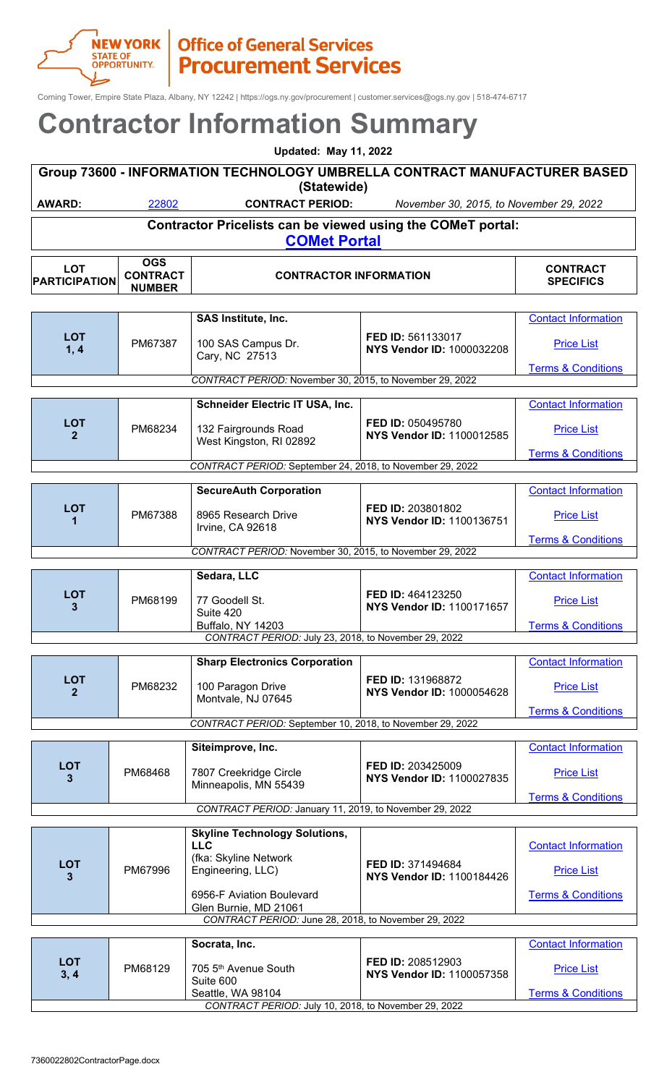

**LOT**

**CONTRACT**

## **NEW YORK | Office of General Services**<br>
Office of General Services<br>
Procurement Services

Corning Tower, Empire State Plaza, Albany, NY 12242 | https://ogs.ny.gov/procurement | customer.services@ogs.ny.gov | 518-474-6717

### **Contractor Information Summary**

| <b>Updated: May 11, 2022</b>                                                       |       |                         |                                         |          |  |
|------------------------------------------------------------------------------------|-------|-------------------------|-----------------------------------------|----------|--|
| Group 73600 - INFORMATION TECHNOLOGY UMBRELLA CONTRACT MANUFACTURER BASED          |       |                         |                                         |          |  |
|                                                                                    |       | (Statewide)             |                                         |          |  |
| AWARD:                                                                             | 22802 | <b>CONTRACT PERIOD:</b> | November 30, 2015, to November 29, 2022 |          |  |
| Contractor Pricelists can be viewed using the COMeT portal:<br><b>COMet Portal</b> |       |                         |                                         |          |  |
| $\mathbf{r}$                                                                       | OGS   |                         |                                         | CONTRACT |  |

**CONTRACTOR INFORMATION CONTRACTOR** 

| <b>PARTICIPATION</b>       | <b>CONTRACT</b><br><b>NUMBER</b> | <b>CONTRACTOR INFORMATION</b>                             |                                                       | <b>SPECIFICS</b>              |
|----------------------------|----------------------------------|-----------------------------------------------------------|-------------------------------------------------------|-------------------------------|
|                            |                                  |                                                           |                                                       |                               |
|                            |                                  | SAS Institute, Inc.                                       |                                                       | <b>Contact Information</b>    |
| <b>LOT</b><br>1, 4         | PM67387                          | 100 SAS Campus Dr.<br>Cary, NC 27513                      | FED ID: 561133017<br>NYS Vendor ID: 1000032208        | <b>Price List</b>             |
|                            |                                  |                                                           |                                                       | <b>Terms &amp; Conditions</b> |
|                            |                                  | CONTRACT PERIOD: November 30, 2015, to November 29, 2022  |                                                       |                               |
|                            |                                  |                                                           |                                                       |                               |
|                            |                                  | Schneider Electric IT USA, Inc.                           |                                                       | <b>Contact Information</b>    |
| <b>LOT</b><br>$\mathbf{2}$ | PM68234                          | 132 Fairgrounds Road<br>West Kingston, RI 02892           | FED ID: 050495780<br>NYS Vendor ID: 1100012585        | <b>Price List</b>             |
|                            |                                  |                                                           |                                                       | <b>Terms &amp; Conditions</b> |
|                            |                                  | CONTRACT PERIOD: September 24, 2018, to November 29, 2022 |                                                       |                               |
|                            |                                  |                                                           |                                                       |                               |
|                            |                                  | <b>SecureAuth Corporation</b>                             |                                                       | <b>Contact Information</b>    |
| <b>LOT</b>                 | PM67388                          | 8965 Research Drive<br>Irvine, CA 92618                   | FED ID: 203801802<br><b>NYS Vendor ID: 1100136751</b> | <b>Price List</b>             |
|                            |                                  |                                                           |                                                       | <b>Terms &amp; Conditions</b> |
|                            |                                  | CONTRACT PERIOD: November 30, 2015, to November 29, 2022  |                                                       |                               |
|                            |                                  |                                                           |                                                       |                               |
|                            |                                  | Sedara, LLC                                               |                                                       | <b>Contact Information</b>    |
| <b>LOT</b><br>3            | PM68199                          | 77 Goodell St.<br>Suite 420                               | FED ID: 464123250<br>NYS Vendor ID: 1100171657        | <b>Price List</b>             |
|                            |                                  | <b>Buffalo, NY 14203</b>                                  |                                                       | <b>Terms &amp; Conditions</b> |
|                            |                                  | CONTRACT PERIOD: July 23, 2018, to November 29, 2022      |                                                       |                               |
|                            |                                  |                                                           |                                                       |                               |
|                            |                                  | <b>Sharp Electronics Corporation</b>                      |                                                       | <b>Contact Information</b>    |
| <b>LOT</b><br>$\mathbf{2}$ | PM68232                          | 100 Paragon Drive<br>Montvale, NJ 07645                   | FED ID: 131968872<br><b>NYS Vendor ID: 1000054628</b> | <b>Price List</b>             |
|                            |                                  |                                                           |                                                       | <b>Terms &amp; Conditions</b> |

|                                                           |         |                                                 |                                                              | $191110 \times 00119110110$   |
|-----------------------------------------------------------|---------|-------------------------------------------------|--------------------------------------------------------------|-------------------------------|
| CONTRACT PERIOD: September 10, 2018, to November 29, 2022 |         |                                                 |                                                              |                               |
|                                                           |         |                                                 |                                                              |                               |
|                                                           |         | Siteimprove, Inc.                               |                                                              | <b>Contact Information</b>    |
| <b>LOT</b><br>$\mathbf{3}$                                | PM68468 | 7807 Creekridge Circle<br>Minneapolis, MN 55439 | <b>FED ID: 203425009</b><br><b>NYS Vendor ID: 1100027835</b> | <b>Price List</b>             |
|                                                           |         |                                                 |                                                              | <b>Terms &amp; Conditions</b> |
| CONTRACT PERIOD: January 11, 2019, to November 29, 2022   |         |                                                 |                                                              |                               |

| <b>LOT</b><br>3                                      | PM67996 | <b>Skyline Technology Solutions,</b><br><b>LLC</b><br>(fka: Skyline Network<br>Engineering, LLC)<br>6956-F Aviation Boulevard<br>Glen Burnie, MD 21061 | <b>FED ID: 371494684</b><br>NYS Vendor ID: 1100184426 | <b>Contact Information</b><br><b>Price List</b><br><b>Terms &amp; Conditions</b> |
|------------------------------------------------------|---------|--------------------------------------------------------------------------------------------------------------------------------------------------------|-------------------------------------------------------|----------------------------------------------------------------------------------|
| CONTRACT PERIOD: June 28, 2018, to November 29, 2022 |         |                                                                                                                                                        |                                                       |                                                                                  |
|                                                      |         |                                                                                                                                                        |                                                       |                                                                                  |
|                                                      |         | Socrata, Inc.                                                                                                                                          |                                                       | <b>Contact Information</b>                                                       |

|                                                      |         | Socrata, Inc.                                 |                                                              | Contact Information.          |
|------------------------------------------------------|---------|-----------------------------------------------|--------------------------------------------------------------|-------------------------------|
| LOT<br>3, 4                                          | PM68129 | 705 5 <sup>th</sup> Avenue South<br>Suite 600 | <b>FED ID: 208512903</b><br><b>NYS Vendor ID: 1100057358</b> | <b>Price List</b>             |
|                                                      |         | Seattle, WA 98104                             |                                                              | <b>Terms &amp; Conditions</b> |
| CONTRACT PERIOD: July 10, 2018, to November 29, 2022 |         |                                               |                                                              |                               |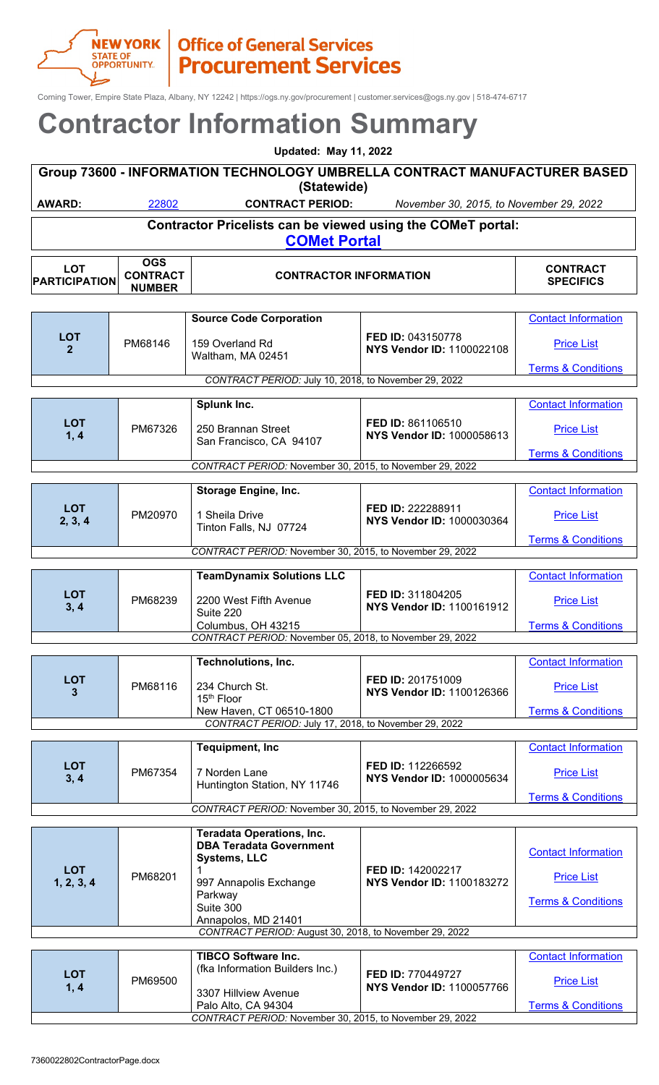

## **NEW YORK | Office of General Services**<br>
Office of General Services<br>
Procurement Services

Corning Tower, Empire State Plaza, Albany, NY 12242 | https://ogs.ny.gov/procurement | customer.services@ogs.ny.gov | 518-474-6717

### **Contractor Information Summary**

| <b>Updated: May 11, 2022</b> |                        |                                                                                          |                                         |                 |  |
|------------------------------|------------------------|------------------------------------------------------------------------------------------|-----------------------------------------|-----------------|--|
|                              |                        | Group 73600 - INFORMATION TECHNOLOGY UMBRELLA CONTRACT MANUFACTURER BASED<br>(Statewide) |                                         |                 |  |
|                              |                        |                                                                                          |                                         |                 |  |
| AWARD:                       | 22802                  | <b>CONTRACT PERIOD:</b>                                                                  | November 30, 2015, to November 29, 2022 |                 |  |
|                              |                        | Contractor Pricelists can be viewed using the COMeT portal:<br><b>COMet Portal</b>       |                                         |                 |  |
| <b>LOT</b>                   | <b>OGS</b><br>CONTRACT | CONTRACTOR INFORMATION                                                                   |                                         | <b>CONTRACT</b> |  |

| <b>PARTICIPATION</b>         | <b>CONTRACT</b><br><b>NUMBER</b> | <b>CONTRACTOR INFORMATION</b>                            |                                                | <b>SPECIFICS</b>                                   |  |
|------------------------------|----------------------------------|----------------------------------------------------------|------------------------------------------------|----------------------------------------------------|--|
|                              |                                  |                                                          |                                                |                                                    |  |
|                              |                                  | <b>Source Code Corporation</b>                           |                                                | <b>Contact Information</b>                         |  |
| <b>LOT</b><br>$\overline{2}$ | PM68146                          | 159 Overland Rd<br>Waltham, MA 02451                     | FED ID: 043150778<br>NYS Vendor ID: 1100022108 | <b>Price List</b><br><b>Terms &amp; Conditions</b> |  |
|                              |                                  | CONTRACT PERIOD: July 10, 2018, to November 29, 2022     |                                                |                                                    |  |
|                              |                                  |                                                          |                                                |                                                    |  |
| <b>LOT</b>                   |                                  | Splunk Inc.                                              | FED ID: 861106510                              | <b>Contact Information</b>                         |  |
| 1, 4                         | PM67326                          | 250 Brannan Street<br>San Francisco, CA 94107            | NYS Vendor ID: 1000058613                      | <b>Price List</b>                                  |  |
|                              |                                  |                                                          |                                                | <b>Terms &amp; Conditions</b>                      |  |
|                              |                                  | CONTRACT PERIOD: November 30, 2015, to November 29, 2022 |                                                |                                                    |  |
|                              |                                  | <b>Storage Engine, Inc.</b>                              |                                                | <b>Contact Information</b>                         |  |
| <b>LOT</b><br>2, 3, 4        | PM20970                          | 1 Sheila Drive<br>Tinton Falls, NJ 07724                 | FED ID: 222288911<br>NYS Vendor ID: 1000030364 | <b>Price List</b>                                  |  |
|                              |                                  |                                                          |                                                | <b>Terms &amp; Conditions</b>                      |  |
|                              |                                  | CONTRACT PERIOD: November 30, 2015, to November 29, 2022 |                                                |                                                    |  |
|                              |                                  | <b>TeamDynamix Solutions LLC</b>                         |                                                | <b>Contact Information</b>                         |  |
|                              |                                  |                                                          |                                                |                                                    |  |
| <b>LOT</b><br>3, 4           | PM68239                          | 2200 West Fifth Avenue<br>Suite 220                      | FED ID: 311804205<br>NYS Vendor ID: 1100161912 | <b>Price List</b>                                  |  |
|                              |                                  | Columbus, OH 43215                                       |                                                | <b>Terms &amp; Conditions</b>                      |  |
|                              |                                  | CONTRACT PERIOD: November 05, 2018, to November 29, 2022 |                                                |                                                    |  |
|                              |                                  | <b>Technolutions, Inc.</b>                               |                                                | <b>Contact Information</b>                         |  |
| <b>LOT</b>                   |                                  |                                                          | FED ID: 201751009                              |                                                    |  |
| 3                            | PM68116                          | 234 Church St.<br>15 <sup>th</sup> Floor                 | NYS Vendor ID: 1100126366                      | <b>Price List</b>                                  |  |
|                              |                                  | New Haven, CT 06510-1800                                 |                                                | <b>Terms &amp; Conditions</b>                      |  |
|                              |                                  | CONTRACT PERIOD: July 17, 2018, to November 29, 2022     |                                                |                                                    |  |
|                              |                                  | <b>Tequipment, Inc.</b>                                  |                                                | <b>Contact Information</b>                         |  |
| <b>LOT</b><br>3, 4           | PM67354                          | 7 Norden Lane                                            | FED ID: 112266592<br>NYS Vendor ID: 1000005634 | <b>Price List</b>                                  |  |
|                              |                                  | Huntington Station, NY 11746                             |                                                | <b>Terms &amp; Conditions</b>                      |  |
|                              |                                  | CONTRACT PERIOD: November 30, 2015, to November 29, 2022 |                                                |                                                    |  |
|                              |                                  |                                                          |                                                |                                                    |  |
|                              |                                  | <b>Teradata Operations, Inc.</b>                         |                                                |                                                    |  |
|                              |                                  | <b>DBA Teradata Government</b><br><b>Systems, LLC</b>    |                                                | <b>Contact Information</b>                         |  |
| <b>LOT</b>                   |                                  |                                                          | FED ID: 142002217                              |                                                    |  |
| 1, 2, 3, 4                   | PM68201                          | 997 Annapolis Exchange                                   | NYS Vendor ID: 1100183272                      | <b>Price List</b>                                  |  |
|                              |                                  | Parkway                                                  |                                                | <b>Terms &amp; Conditions</b>                      |  |
|                              |                                  | Suite 300<br>Annapolos, MD 21401                         |                                                |                                                    |  |

|                                                          |         | <b>TIBCO Software Inc.</b>      |                                                       | <b>Contact Information</b>    |
|----------------------------------------------------------|---------|---------------------------------|-------------------------------------------------------|-------------------------------|
| <b>LOT</b><br>1, 4                                       |         | (fka Information Builders Inc.) |                                                       |                               |
|                                                          | PM69500 |                                 | <b>FED ID: 770449727</b><br>NYS Vendor ID: 1100057766 | <b>Price List</b>             |
|                                                          |         | 3307 Hillview Avenue            |                                                       |                               |
|                                                          |         | Palo Alto, CA 94304             |                                                       | <b>Terms &amp; Conditions</b> |
| CONTRACT PERIOD: November 30, 2015, to November 29, 2022 |         |                                 |                                                       |                               |

*CONTRACT PERIOD:* August 30, 2018, to November 29, 2022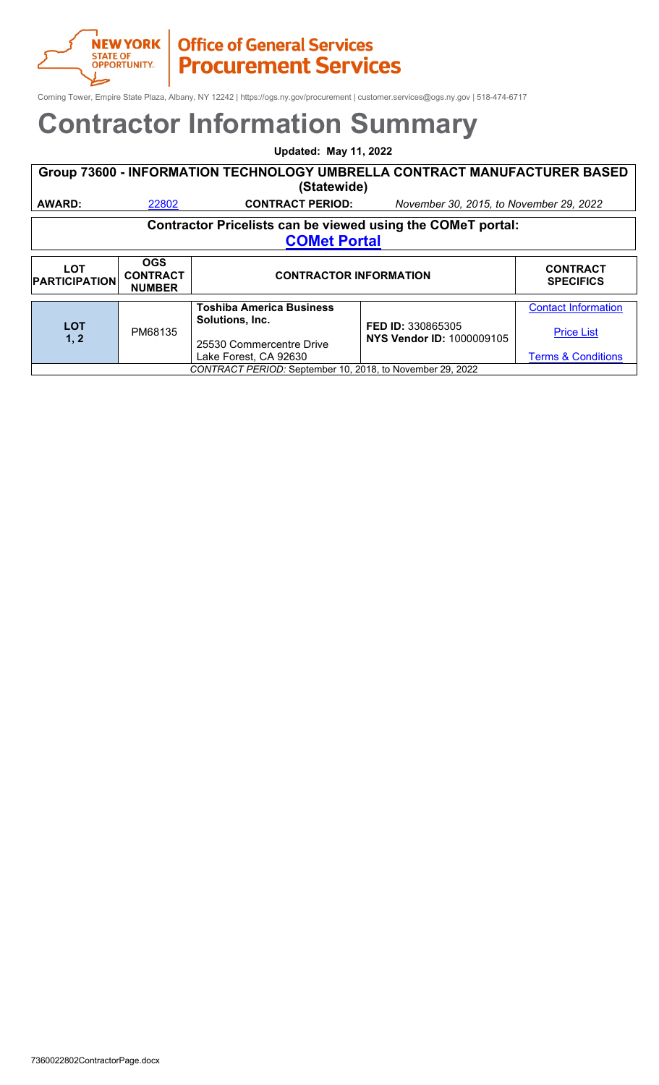

Corning Tower, Empire State Plaza, Albany, NY 12242 | https://ogs.ny.gov/procurement | customer.services@ogs.ny.gov | 518-474-6717

### **Contractor Information Summary**

**Updated: May 11, 2022**

| Group 73600 - INFORMATION TECHNOLOGY UMBRELLA CONTRACT MANUFACTURER BASED |       |                         |                                         |  |  |
|---------------------------------------------------------------------------|-------|-------------------------|-----------------------------------------|--|--|
| (Statewide)                                                               |       |                         |                                         |  |  |
| AWARD:                                                                    | 22802 | <b>CONTRACT PERIOD:</b> | November 30, 2015, to November 29, 2022 |  |  |
| Contractor Pricelists can be viewed using the COMeT portal:               |       |                         |                                         |  |  |

**[COMet Portal](https://ogs.ny.gov/comet)**

| <b>LOT</b><br><b>PARTICIPATION</b>                        | <b>OGS</b><br><b>CONTRACT</b><br><b>NUMBER</b> | <b>CONTRACTOR INFORMATION</b>                                                                           |                                                | <b>CONTRACT</b><br><b>SPECIFICS</b>                                              |
|-----------------------------------------------------------|------------------------------------------------|---------------------------------------------------------------------------------------------------------|------------------------------------------------|----------------------------------------------------------------------------------|
| <b>LOT</b><br>1, 2                                        | PM68135                                        | <b>Toshiba America Business</b><br>Solutions, Inc.<br>25530 Commercentre Drive<br>Lake Forest, CA 92630 | FED ID: 330865305<br>NYS Vendor ID: 1000009105 | <b>Contact Information</b><br><b>Price List</b><br><b>Terms &amp; Conditions</b> |
| CONTRACT PERIOD: September 10, 2018, to November 29, 2022 |                                                |                                                                                                         |                                                |                                                                                  |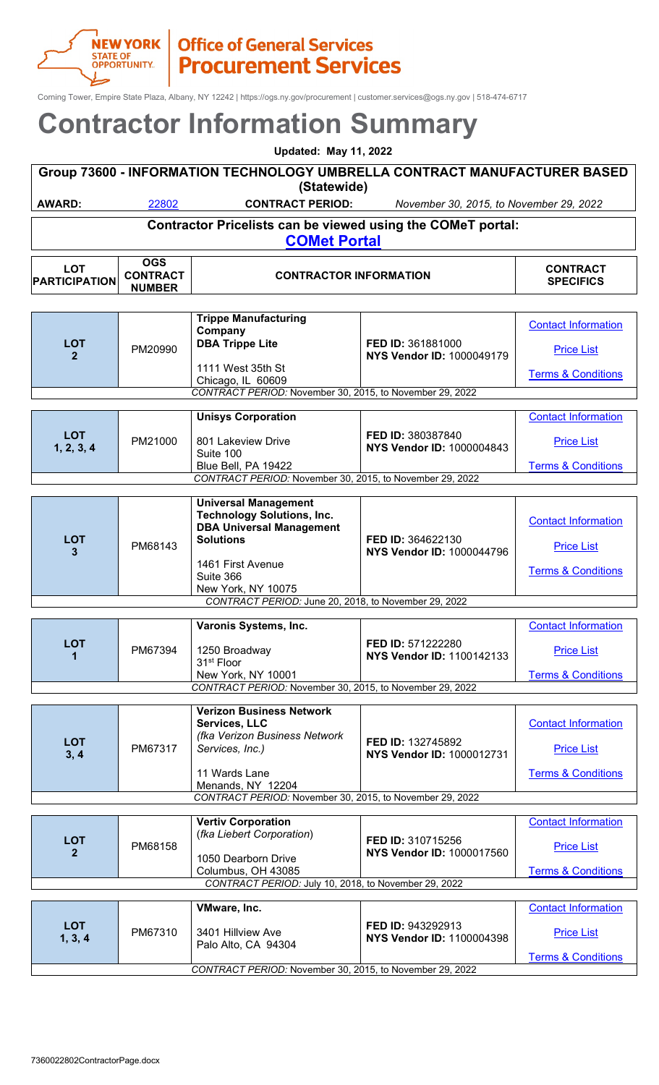

Corning Tower, Empire State Plaza, Albany, NY 12242 | https://ogs.ny.gov/procurement | customer.services@ogs.ny.gov | 518-474-6717

| <b>Updated: May 11, 2022</b>                             |                                                |                                                                                                                                                                                 |                                                       |                                                                                  |
|----------------------------------------------------------|------------------------------------------------|---------------------------------------------------------------------------------------------------------------------------------------------------------------------------------|-------------------------------------------------------|----------------------------------------------------------------------------------|
|                                                          |                                                | Group 73600 - INFORMATION TECHNOLOGY UMBRELLA CONTRACT MANUFACTURER BASED<br>(Statewide)                                                                                        |                                                       |                                                                                  |
| <b>AWARD:</b>                                            | 22802                                          | <b>CONTRACT PERIOD:</b>                                                                                                                                                         | November 30, 2015, to November 29, 2022               |                                                                                  |
|                                                          |                                                | Contractor Pricelists can be viewed using the COMeT portal:                                                                                                                     |                                                       |                                                                                  |
|                                                          |                                                | <b>COMet Portal</b>                                                                                                                                                             |                                                       |                                                                                  |
| <b>LOT</b><br><b>PARTICIPATION</b>                       | <b>OGS</b><br><b>CONTRACT</b><br><b>NUMBER</b> | <b>CONTRACTOR INFORMATION</b>                                                                                                                                                   |                                                       | <b>CONTRACT</b><br><b>SPECIFICS</b>                                              |
| <b>LOT</b><br>$\mathbf{2}$                               | PM20990                                        | <b>Trippe Manufacturing</b><br>Company<br><b>DBA Trippe Lite</b><br>1111 West 35th St<br>Chicago, IL 60609                                                                      | FED ID: 361881000<br><b>NYS Vendor ID: 1000049179</b> | <b>Contact Information</b><br><b>Price List</b><br><b>Terms &amp; Conditions</b> |
|                                                          |                                                | CONTRACT PERIOD: November 30, 2015, to November 29, 2022                                                                                                                        |                                                       |                                                                                  |
| <b>LOT</b><br>1, 2, 3, 4                                 | PM21000                                        | <b>Unisys Corporation</b><br>801 Lakeview Drive<br>Suite 100<br>Blue Bell, PA 19422                                                                                             | FED ID: 380387840<br><b>NYS Vendor ID: 1000004843</b> | <b>Contact Information</b><br><b>Price List</b><br><b>Terms &amp; Conditions</b> |
|                                                          |                                                | CONTRACT PERIOD: November 30, 2015, to November 29, 2022                                                                                                                        |                                                       |                                                                                  |
| <b>LOT</b><br>3                                          | PM68143                                        | <b>Universal Management</b><br><b>Technology Solutions, Inc.</b><br><b>DBA Universal Management</b><br><b>Solutions</b><br>1461 First Avenue<br>Suite 366<br>New York, NY 10075 | FED ID: 364622130<br><b>NYS Vendor ID: 1000044796</b> | <b>Contact Information</b><br><b>Price List</b><br><b>Terms &amp; Conditions</b> |
|                                                          |                                                | CONTRACT PERIOD: June 20, 2018, to November 29, 2022                                                                                                                            |                                                       |                                                                                  |
| <b>LOT</b><br>1                                          | PM67394                                        | Varonis Systems, Inc.<br>1250 Broadway<br>31 <sup>st</sup> Floor<br>New York, NY 10001                                                                                          | FED ID: 571222280<br><b>NYS Vendor ID: 1100142133</b> | <b>Contact Information</b><br><b>Price List</b><br><b>Terms &amp; Conditions</b> |
|                                                          |                                                | CONTRACT PERIOD: November 30, 2015, to November 29, 2022                                                                                                                        |                                                       |                                                                                  |
| <b>LOT</b><br>3, 4                                       | PM67317                                        | <b>Verizon Business Network</b><br>Services, LLC<br>(fka Verizon Business Network<br>Services, Inc.)<br>11 Wards Lane<br>Menands, NY 12204                                      | FED ID: 132745892<br>NYS Vendor ID: 1000012731        | <b>Contact Information</b><br><b>Price List</b><br><b>Terms &amp; Conditions</b> |
|                                                          |                                                | CONTRACT PERIOD: November 30, 2015, to November 29, 2022                                                                                                                        |                                                       |                                                                                  |
| <b>LOT</b><br>$\mathbf{2}$                               | PM68158                                        | <b>Vertiv Corporation</b><br>(fka Liebert Corporation)<br>1050 Dearborn Drive<br>Columbus, OH 43085<br>CONTRACT PERIOD: July 10, 2018, to November 29, 2022                     | FED ID: 310715256<br><b>NYS Vendor ID: 1000017560</b> | <b>Contact Information</b><br><b>Price List</b><br><b>Terms &amp; Conditions</b> |
|                                                          |                                                |                                                                                                                                                                                 |                                                       |                                                                                  |
| <b>LOT</b><br>1, 3, 4                                    | PM67310                                        | VMware, Inc.<br>3401 Hillview Ave<br>Palo Alto, CA 94304                                                                                                                        | FED ID: 943292913<br>NYS Vendor ID: 1100004398        | <b>Contact Information</b><br><b>Price List</b><br><b>Terms &amp; Conditions</b> |
| CONTRACT PERIOD: November 30, 2015, to November 29, 2022 |                                                |                                                                                                                                                                                 |                                                       |                                                                                  |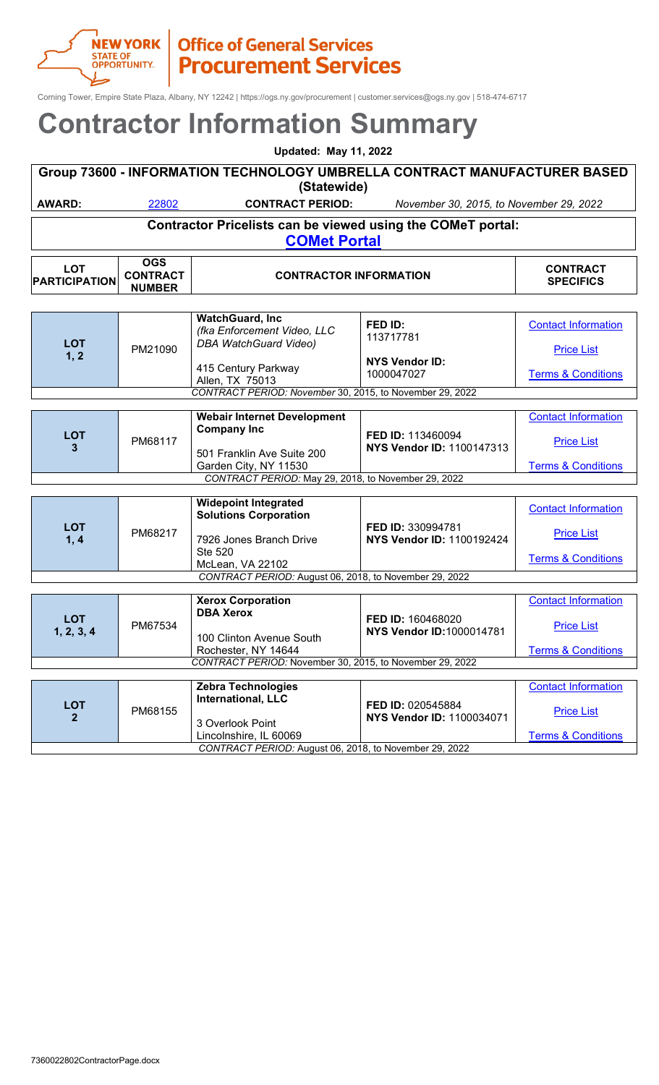Corning Tower, Empire State Plaza, Albany, NY 12242 | https://ogs.ny.gov/procurement | customer.services@ogs.ny.gov | 518-474-6717

### **Contractor Information Summary**

| <b>Updated: May 11, 2022</b>                                                             |                                                 |                                                                                    |                                         |                                     |  |
|------------------------------------------------------------------------------------------|-------------------------------------------------|------------------------------------------------------------------------------------|-----------------------------------------|-------------------------------------|--|
| Group 73600 - INFORMATION TECHNOLOGY UMBRELLA CONTRACT MANUFACTURER BASED<br>(Statewide) |                                                 |                                                                                    |                                         |                                     |  |
| <b>AWARD:</b>                                                                            | 22802                                           | <b>CONTRACT PERIOD:</b>                                                            | November 30, 2015, to November 29, 2022 |                                     |  |
|                                                                                          |                                                 | Contractor Pricelists can be viewed using the COMeT portal:<br><b>COMet Portal</b> |                                         |                                     |  |
| <b>LOT</b><br><b>PARTICIPATION</b>                                                       | <b>OGS</b><br><b>CONTRACT</b><br><b>NIIMDED</b> | <b>CONTRACTOR INFORMATION</b>                                                      |                                         | <b>CONTRACT</b><br><b>SPECIFICS</b> |  |

|                                                     | <b>NUMBER</b> |                                                                                                   |                                                       |                                                                                  |
|-----------------------------------------------------|---------------|---------------------------------------------------------------------------------------------------|-------------------------------------------------------|----------------------------------------------------------------------------------|
|                                                     |               |                                                                                                   |                                                       |                                                                                  |
| <b>LOT</b>                                          |               | <b>WatchGuard, Inc</b><br>(fka Enforcement Video, LLC<br><b>DBA WatchGuard Video)</b>             | FED ID:<br>113717781                                  | <b>Contact Information</b>                                                       |
| 1, 2                                                | PM21090       | 415 Century Parkway<br>Allen, TX 75013                                                            | <b>NYS Vendor ID:</b><br>1000047027                   | <b>Price List</b><br><b>Terms &amp; Conditions</b>                               |
|                                                     |               | CONTRACT PERIOD: November 30, 2015, to November 29, 2022                                          |                                                       |                                                                                  |
|                                                     |               | <b>Webair Internet Development</b><br><b>Company Inc</b>                                          |                                                       | <b>Contact Information</b>                                                       |
| <b>LOT</b><br>3                                     | PM68117       | FED ID: 113460094<br><b>NYS Vendor ID: 1100147313</b><br>501 Franklin Ave Suite 200               | <b>Price List</b>                                     |                                                                                  |
|                                                     |               | Garden City, NY 11530                                                                             |                                                       | <b>Terms &amp; Conditions</b>                                                    |
| CONTRACT PERIOD: May 29, 2018, to November 29, 2022 |               |                                                                                                   |                                                       |                                                                                  |
| <b>LOT</b><br>1, 4                                  | PM68217       | <b>Widepoint Integrated</b><br><b>Solutions Corporation</b><br>7926 Jones Branch Drive<br>Ste 520 | FED ID: 330994781<br><b>NYS Vendor ID: 1100192424</b> | <b>Contact Information</b><br><b>Price List</b><br><b>Terms &amp; Conditions</b> |
|                                                     |               | McLean, VA 22102<br>CONTRACT PERIOD: August 06, 2018, to November 29, 2022                        |                                                       |                                                                                  |
|                                                     |               |                                                                                                   |                                                       |                                                                                  |
| <b>LOT</b><br>1, 2, 3, 4                            | PM67534       | <b>Xerox Corporation</b><br><b>DBA Xerox</b><br>100 Clinton Avenue South                          | FED ID: 160468020<br><b>NYS Vendor ID:1000014781</b>  | <b>Contact Information</b><br><b>Price List</b>                                  |
|                                                     |               | Rochester, NY 14644                                                                               |                                                       | <b>Terms &amp; Conditions</b>                                                    |
|                                                     |               | CONTRACT PERIOD: November 30, 2015, to November 29, 2022                                          |                                                       |                                                                                  |
|                                                     |               | <b>Zebra Technologies</b>                                                                         |                                                       | <b>Contact Information</b>                                                       |
| <b>LOT</b><br>$\overline{2}$                        | PM68155       | <b>International, LLC</b>                                                                         | FED ID: 020545884<br><b>NYS Vendor ID: 1100034071</b> | <b>Price List</b>                                                                |
|                                                     |               | 3 Overlook Point<br>Lincolnshire, IL 60069                                                        |                                                       | <b>Terms &amp; Conditions</b>                                                    |

*CONTRACT PERIOD:* August 06, 2018, to November 29, 2022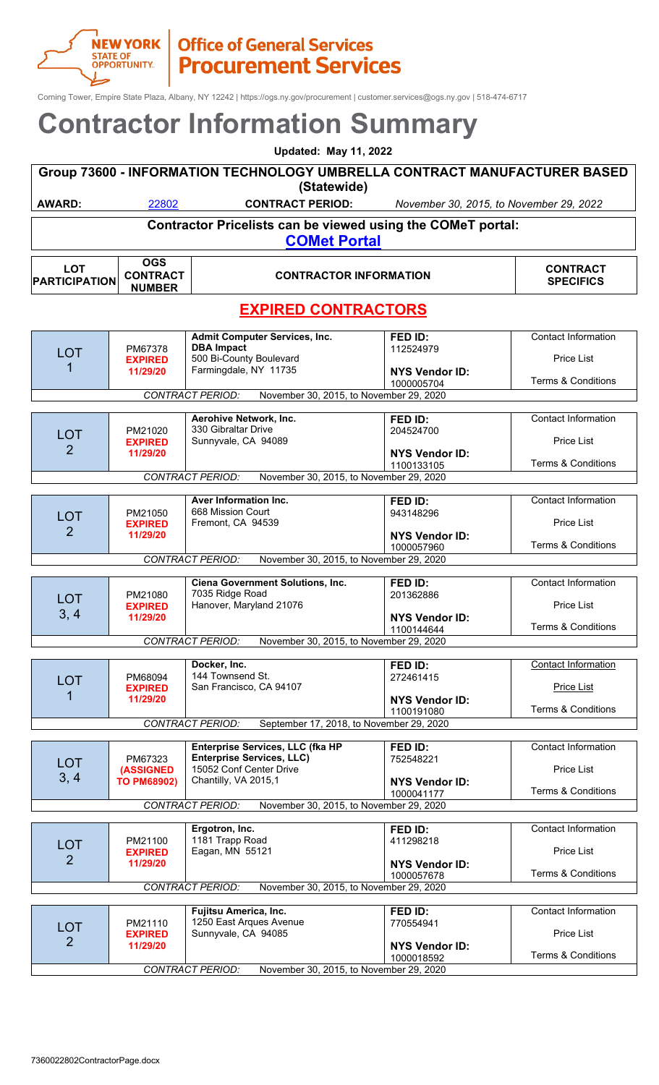#### **NEW YORK | Office of General Services**<br>
STATE OF | **Procurement Service Procurement Services**

Corning Tower, Empire State Plaza, Albany, NY 12242 | https://ogs.ny.gov/procurement | customer.services@ogs.ny.gov | 518-474-6717

|                                    | <b>Updated: May 11, 2022</b>                                              |                                                                                                                                                                                     |                                                             |                                                                                  |  |
|------------------------------------|---------------------------------------------------------------------------|-------------------------------------------------------------------------------------------------------------------------------------------------------------------------------------|-------------------------------------------------------------|----------------------------------------------------------------------------------|--|
|                                    | Group 73600 - INFORMATION TECHNOLOGY UMBRELLA CONTRACT MANUFACTURER BASED |                                                                                                                                                                                     |                                                             |                                                                                  |  |
|                                    |                                                                           | (Statewide)                                                                                                                                                                         |                                                             |                                                                                  |  |
| <b>AWARD:</b>                      | 22802                                                                     | <b>CONTRACT PERIOD:</b>                                                                                                                                                             | November 30, 2015, to November 29, 2022                     |                                                                                  |  |
|                                    |                                                                           | Contractor Pricelists can be viewed using the COMeT portal:<br><b>COMet Portal</b>                                                                                                  |                                                             |                                                                                  |  |
| <b>LOT</b><br><b>PARTICIPATION</b> | <b>OGS</b><br><b>CONTRACT</b><br><b>NUMBER</b>                            | <b>CONTRACTOR INFORMATION</b>                                                                                                                                                       |                                                             | <b>CONTRACT</b><br><b>SPECIFICS</b>                                              |  |
|                                    |                                                                           | <b>EXPIRED CONTRACTORS</b>                                                                                                                                                          |                                                             |                                                                                  |  |
| <b>LOT</b>                         | PM67378<br><b>EXPIRED</b><br>11/29/20                                     | <b>Admit Computer Services, Inc.</b><br><b>DBA Impact</b><br>500 Bi-County Boulevard<br>Farmingdale, NY 11735<br><b>CONTRACT PERIOD:</b><br>November 30, 2015, to November 29, 2020 | FED ID:<br>112524979<br><b>NYS Vendor ID:</b><br>1000005704 | <b>Contact Information</b><br><b>Price List</b><br><b>Terms &amp; Conditions</b> |  |
|                                    |                                                                           |                                                                                                                                                                                     |                                                             |                                                                                  |  |
| <b>LOT</b><br>2                    | PM21020<br><b>EXPIRED</b><br>11/29/20                                     | Aerohive Network, Inc.<br>330 Gibraltar Drive<br>Sunnyvale, CA 94089                                                                                                                | FED ID:<br>204524700<br><b>NYS Vendor ID:</b><br>1100133105 | <b>Contact Information</b><br><b>Price List</b><br><b>Terms &amp; Conditions</b> |  |
|                                    |                                                                           | <b>CONTRACT PERIOD:</b><br>November 30, 2015, to November 29, 2020                                                                                                                  |                                                             |                                                                                  |  |
| <b>LOT</b><br>$\overline{2}$       | PM21050<br><b>EXPIRED</b><br>11/29/20                                     | Aver Information Inc.<br>668 Mission Court<br>Fremont, CA 94539                                                                                                                     | FED ID:<br>943148296<br><b>NYS Vendor ID:</b>               | <b>Contact Information</b><br><b>Price List</b>                                  |  |
|                                    |                                                                           | <b>CONTRACT PERIOD:</b><br>November 30, 2015, to November 29, 2020                                                                                                                  | 1000057960                                                  | <b>Terms &amp; Conditions</b>                                                    |  |
|                                    |                                                                           |                                                                                                                                                                                     |                                                             |                                                                                  |  |
| <b>LOT</b><br>3, 4                 | PM21080<br><b>EXPIRED</b><br>11/29/20                                     | Ciena Government Solutions, Inc.<br>7035 Ridge Road<br>Hanover, Maryland 21076                                                                                                      | FED ID:<br>201362886<br><b>NYS Vendor ID:</b>               | <b>Contact Information</b><br><b>Price List</b>                                  |  |
|                                    |                                                                           |                                                                                                                                                                                     | 1100144644                                                  | <b>Terms &amp; Conditions</b>                                                    |  |
|                                    |                                                                           | <b>CONTRACT PERIOD:</b><br>November 30, 2015, to November 29, 2020                                                                                                                  |                                                             |                                                                                  |  |
| <b>LOT</b><br>1                    | PM68094<br><b>EXPIRED</b><br>11/29/20                                     | Docker, Inc.<br>144 Townsend St.<br>San Francisco, CA 94107                                                                                                                         | FED ID:<br>272461415<br><b>NYS Vendor ID:</b><br>1100191080 | <b>Contact Information</b><br><b>Price List</b><br><b>Terms &amp; Conditions</b> |  |
|                                    |                                                                           | <b>CONTRACT PERIOD:</b><br>September 17, 2018, to November 29, 2020                                                                                                                 |                                                             |                                                                                  |  |
| <b>LOT</b><br>3, 4                 | PM67323<br><b>(ASSIGNED</b><br><b>TO PM68902)</b>                         | Enterprise Services, LLC (fka HP<br><b>Enterprise Services, LLC)</b><br>15052 Conf Center Drive<br>Chantilly, VA 2015,1                                                             | FED ID:<br>752548221<br><b>NYS Vendor ID:</b><br>1000041177 | Contact Information<br>Price List<br><b>Terms &amp; Conditions</b>               |  |
|                                    |                                                                           | <b>CONTRACT PERIOD:</b><br>November 30, 2015, to November 29, 2020                                                                                                                  |                                                             |                                                                                  |  |
|                                    |                                                                           | Ergotron, Inc.                                                                                                                                                                      | FED ID:                                                     | <b>Contact Information</b>                                                       |  |
| <b>LOT</b><br>2                    | PM21100<br><b>EXPIRED</b><br>11/29/20                                     | 1181 Trapp Road<br>Eagan, MN 55121                                                                                                                                                  | 411298218<br><b>NYS Vendor ID:</b>                          | Price List                                                                       |  |
|                                    |                                                                           | <b>CONTRACT PERIOD:</b><br>November 30, 2015, to November 29, 2020                                                                                                                  | 1000057678                                                  | <b>Terms &amp; Conditions</b>                                                    |  |
|                                    |                                                                           |                                                                                                                                                                                     |                                                             |                                                                                  |  |
| <b>LOT</b><br>$\overline{2}$       | PM21110<br><b>EXPIRED</b><br>11/29/20                                     | Fujitsu America, Inc.<br>1250 East Arques Avenue<br>Sunnyvale, CA 94085                                                                                                             | FED ID:<br>770554941<br><b>NYS Vendor ID:</b>               | <b>Contact Information</b><br><b>Price List</b>                                  |  |
|                                    |                                                                           | <b>CONTRACT PERIOD:</b><br>November 30, 2015, to November 29, 2020                                                                                                                  | 1000018592                                                  | <b>Terms &amp; Conditions</b>                                                    |  |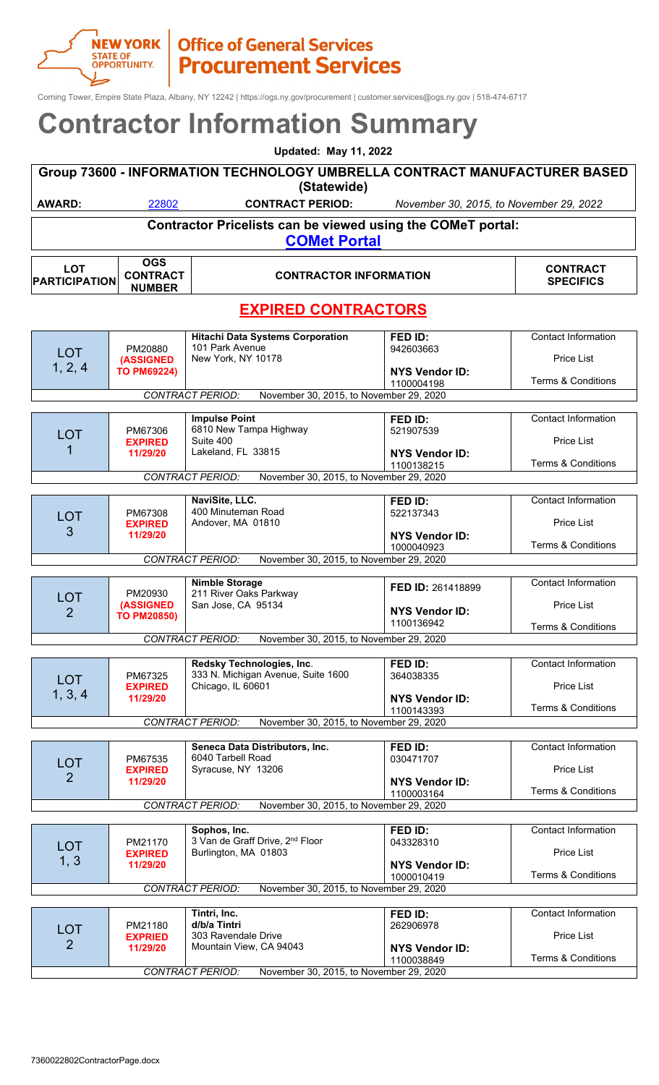#### **NEW YORK | Office of General Services**<br>STATE OF<br>OPPORTUNITY. | **Procurement Servic Procurement Services**

Corning Tower, Empire State Plaza, Albany, NY 12242 | https://ogs.ny.gov/procurement | customer.services@ogs.ny.gov | 518-474-6717

|                                    |                                                   | <b>Updated: May 11, 2022</b>                                                                                                                           |                                                             |                                                                                  |
|------------------------------------|---------------------------------------------------|--------------------------------------------------------------------------------------------------------------------------------------------------------|-------------------------------------------------------------|----------------------------------------------------------------------------------|
|                                    |                                                   | Group 73600 - INFORMATION TECHNOLOGY UMBRELLA CONTRACT MANUFACTURER BASED<br>(Statewide)                                                               |                                                             |                                                                                  |
| <b>AWARD:</b>                      | 22802                                             | <b>CONTRACT PERIOD:</b>                                                                                                                                | November 30, 2015, to November 29, 2022                     |                                                                                  |
|                                    |                                                   | Contractor Pricelists can be viewed using the COMeT portal:                                                                                            |                                                             |                                                                                  |
|                                    |                                                   | <b>COMet Portal</b>                                                                                                                                    |                                                             |                                                                                  |
| <b>LOT</b><br><b>PARTICIPATION</b> | <b>OGS</b><br><b>CONTRACT</b><br><b>NUMBER</b>    | <b>CONTRACTOR INFORMATION</b>                                                                                                                          |                                                             | <b>CONTRACT</b><br><b>SPECIFICS</b>                                              |
|                                    |                                                   | <b>EXPIRED CONTRACTORS</b>                                                                                                                             |                                                             |                                                                                  |
| <b>LOT</b><br>1, 2, 4              | PM20880<br><b>(ASSIGNED</b><br><b>TO PM69224)</b> | <b>Hitachi Data Systems Corporation</b><br>101 Park Avenue<br>New York, NY 10178<br><b>CONTRACT PERIOD:</b><br>November 30, 2015, to November 29, 2020 | FED ID:<br>942603663<br><b>NYS Vendor ID:</b><br>1100004198 | <b>Contact Information</b><br><b>Price List</b><br><b>Terms &amp; Conditions</b> |
|                                    |                                                   | <b>Impulse Point</b>                                                                                                                                   | FED ID:                                                     | <b>Contact Information</b>                                                       |
| <b>LOT</b>                         | PM67306                                           | 6810 New Tampa Highway                                                                                                                                 | 521907539                                                   |                                                                                  |
|                                    | <b>EXPIRED</b><br>11/29/20                        | Suite 400<br>Lakeland, FL 33815                                                                                                                        | <b>NYS Vendor ID:</b><br>1100138215                         | <b>Price List</b><br><b>Terms &amp; Conditions</b>                               |
|                                    |                                                   | <b>CONTRACT PERIOD:</b><br>November 30, 2015, to November 29, 2020                                                                                     |                                                             |                                                                                  |
|                                    |                                                   | NaviSite, LLC.                                                                                                                                         | FED ID:                                                     | <b>Contact Information</b>                                                       |
| <b>LOT</b>                         | PM67308                                           | 400 Minuteman Road                                                                                                                                     | 522137343                                                   |                                                                                  |
| 3                                  | <b>EXPIRED</b><br>11/29/20                        | Andover, MA 01810                                                                                                                                      | <b>NYS Vendor ID:</b>                                       | <b>Price List</b>                                                                |
|                                    |                                                   |                                                                                                                                                        | 1000040923                                                  | <b>Terms &amp; Conditions</b>                                                    |
|                                    |                                                   | <b>CONTRACT PERIOD:</b><br>November 30, 2015, to November 29, 2020                                                                                     |                                                             |                                                                                  |
| <b>LOT</b>                         | PM20930                                           | <b>Nimble Storage</b><br>211 River Oaks Parkway                                                                                                        | FED ID: 261418899                                           | <b>Contact Information</b>                                                       |
| $\overline{2}$                     | <b>(ASSIGNED</b><br><b>TO PM20850)</b>            | San Jose, CA 95134                                                                                                                                     | <b>NYS Vendor ID:</b><br>1100136942                         | <b>Price List</b><br><b>Terms &amp; Conditions</b>                               |
|                                    |                                                   | November 30, 2015, to November 29, 2020<br><b>CONTRACT PERIOD:</b>                                                                                     |                                                             |                                                                                  |
|                                    |                                                   | Redsky Technologies, Inc.                                                                                                                              | FED ID:                                                     | <b>Contact Information</b>                                                       |
| <b>LOT</b>                         | PM67325                                           | 333 N. Michigan Avenue, Suite 1600                                                                                                                     | 364038335                                                   |                                                                                  |
| 1, 3, 4                            | <b>EXPIRED</b><br>11/29/20                        | Chicago, IL 60601                                                                                                                                      | <b>NYS Vendor ID:</b>                                       | Price List                                                                       |
|                                    |                                                   |                                                                                                                                                        | 1100143393                                                  | <b>Terms &amp; Conditions</b>                                                    |
|                                    |                                                   | <b>CONTRACT PERIOD:</b><br>November 30, 2015, to November 29, 2020                                                                                     |                                                             |                                                                                  |
|                                    |                                                   | Seneca Data Distributors, Inc.                                                                                                                         | FED ID:                                                     | <b>Contact Information</b>                                                       |
| <b>LOT</b>                         | PM67535<br><b>EXPIRED</b>                         | 6040 Tarbell Road<br>Syracuse, NY 13206                                                                                                                | 030471707                                                   | <b>Price List</b>                                                                |
| $\overline{2}$                     | 11/29/20                                          |                                                                                                                                                        | <b>NYS Vendor ID:</b><br>1100003164                         | <b>Terms &amp; Conditions</b>                                                    |
|                                    |                                                   | <b>CONTRACT PERIOD:</b><br>November 30, 2015, to November 29, 2020                                                                                     |                                                             |                                                                                  |
|                                    |                                                   | Sophos, Inc.                                                                                                                                           | FED ID:                                                     | <b>Contact Information</b>                                                       |
| <b>LOT</b>                         | PM21170                                           | 3 Van de Graff Drive, 2 <sup>nd</sup> Floor                                                                                                            | 043328310                                                   |                                                                                  |
| 1, 3                               | <b>EXPIRED</b><br>11/29/20                        | Burlington, MA 01803                                                                                                                                   | <b>NYS Vendor ID:</b>                                       | Price List                                                                       |
|                                    |                                                   | <b>CONTRACT PERIOD:</b><br>November 30, 2015, to November 29, 2020                                                                                     | 1000010419                                                  | <b>Terms &amp; Conditions</b>                                                    |
|                                    |                                                   |                                                                                                                                                        |                                                             |                                                                                  |
|                                    |                                                   | Tintri, Inc.<br>d/b/a Tintri                                                                                                                           | FED ID:                                                     | <b>Contact Information</b>                                                       |
| <b>LOT</b><br>2                    | PM21180<br><b>EXPRIED</b>                         | 303 Ravendale Drive                                                                                                                                    | 262906978                                                   | Price List                                                                       |
|                                    | 11/29/20                                          | Mountain View, CA 94043                                                                                                                                | <b>NYS Vendor ID:</b><br>1100038849                         | <b>Terms &amp; Conditions</b>                                                    |
|                                    |                                                   | <b>CONTRACT PERIOD:</b><br>November 30, 2015, to November 29, 2020                                                                                     |                                                             |                                                                                  |